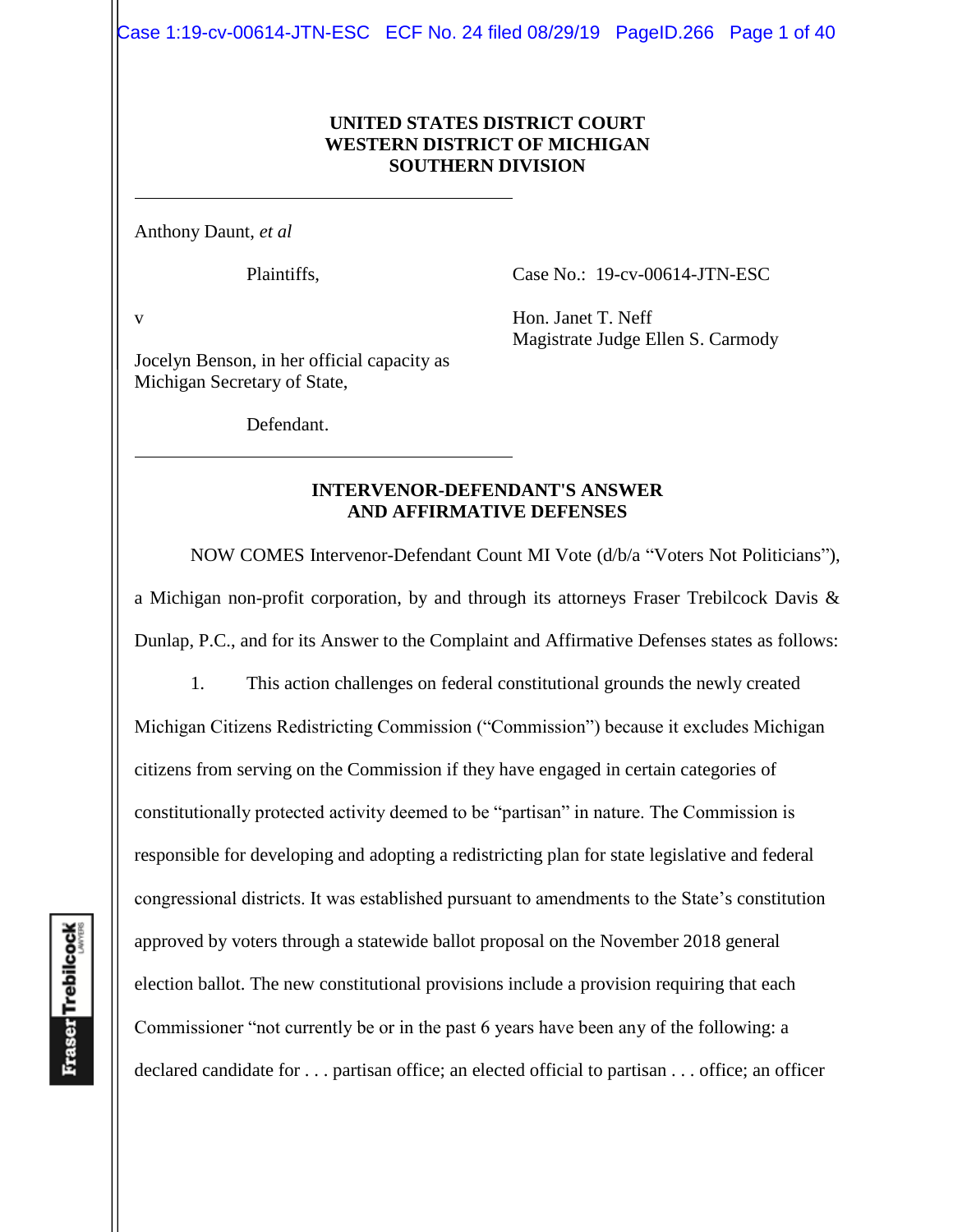Case 1:19-cv-00614-JTN-ESC ECF No. 24 filed 08/29/19 PageID.266 Page 1 of 40

#### **UNITED STATES DISTRICT COURT WESTERN DISTRICT OF MICHIGAN SOUTHERN DIVISION**

Anthony Daunt, *et al*

Plaintiffs,

Case No.: 19-cv-00614-JTN-ESC

v

Hon. Janet T. Neff Magistrate Judge Ellen S. Carmody

Jocelyn Benson, in her official capacity as Michigan Secretary of State,

Defendant.

#### **INTERVENOR-DEFENDANT'S ANSWER AND AFFIRMATIVE DEFENSES**

NOW COMES Intervenor-Defendant Count MI Vote (d/b/a "Voters Not Politicians"), a Michigan non-profit corporation, by and through its attorneys Fraser Trebilcock Davis & Dunlap, P.C., and for its Answer to the Complaint and Affirmative Defenses states as follows:

1. This action challenges on federal constitutional grounds the newly created Michigan Citizens Redistricting Commission ("Commission") because it excludes Michigan citizens from serving on the Commission if they have engaged in certain categories of constitutionally protected activity deemed to be "partisan" in nature. The Commission is responsible for developing and adopting a redistricting plan for state legislative and federal congressional districts. It was established pursuant to amendments to the State's constitution approved by voters through a statewide ballot proposal on the November 2018 general election ballot. The new constitutional provisions include a provision requiring that each Commissioner "not currently be or in the past 6 years have been any of the following: a declared candidate for . . . partisan office; an elected official to partisan . . . office; an officer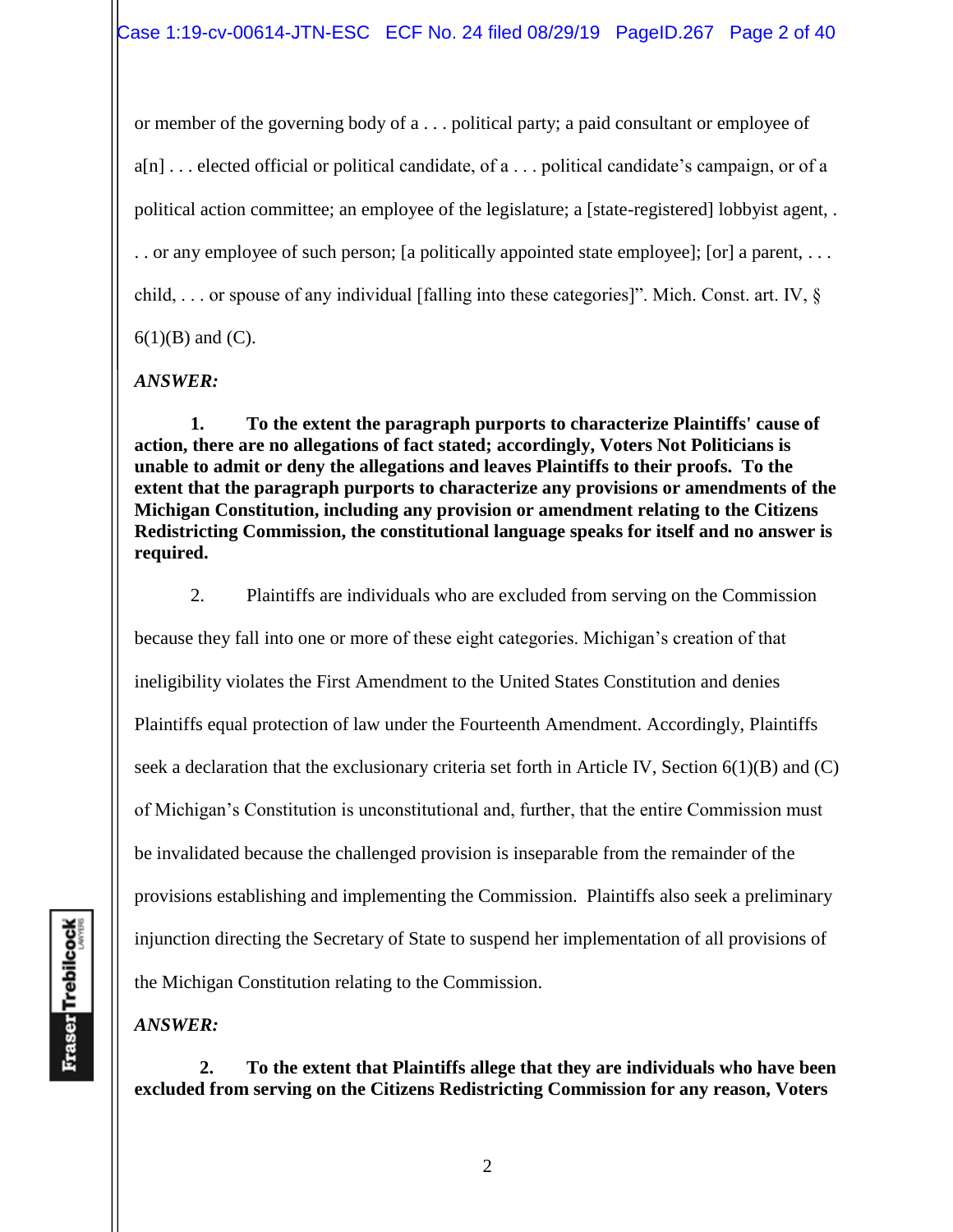or member of the governing body of a . . . political party; a paid consultant or employee of a[n] . . . elected official or political candidate, of a . . . political candidate's campaign, or of a political action committee; an employee of the legislature; a [state-registered] lobbyist agent, . . . or any employee of such person; [a politically appointed state employee]; [or] a parent, . . . child, . . . or spouse of any individual [falling into these categories]". Mich. Const. art. IV, §  $6(1)(B)$  and  $(C)$ .

*ANSWER:*

**1. To the extent the paragraph purports to characterize Plaintiffs' cause of action, there are no allegations of fact stated; accordingly, Voters Not Politicians is unable to admit or deny the allegations and leaves Plaintiffs to their proofs. To the extent that the paragraph purports to characterize any provisions or amendments of the Michigan Constitution, including any provision or amendment relating to the Citizens Redistricting Commission, the constitutional language speaks for itself and no answer is required.** 

2. Plaintiffs are individuals who are excluded from serving on the Commission because they fall into one or more of these eight categories. Michigan's creation of that ineligibility violates the First Amendment to the United States Constitution and denies Plaintiffs equal protection of law under the Fourteenth Amendment. Accordingly, Plaintiffs seek a declaration that the exclusionary criteria set forth in Article IV, Section 6(1)(B) and (C) of Michigan's Constitution is unconstitutional and, further, that the entire Commission must be invalidated because the challenged provision is inseparable from the remainder of the provisions establishing and implementing the Commission. Plaintiffs also seek a preliminary injunction directing the Secretary of State to suspend her implementation of all provisions of the Michigan Constitution relating to the Commission.

*ANSWER:*

 **2. To the extent that Plaintiffs allege that they are individuals who have been excluded from serving on the Citizens Redistricting Commission for any reason, Voters**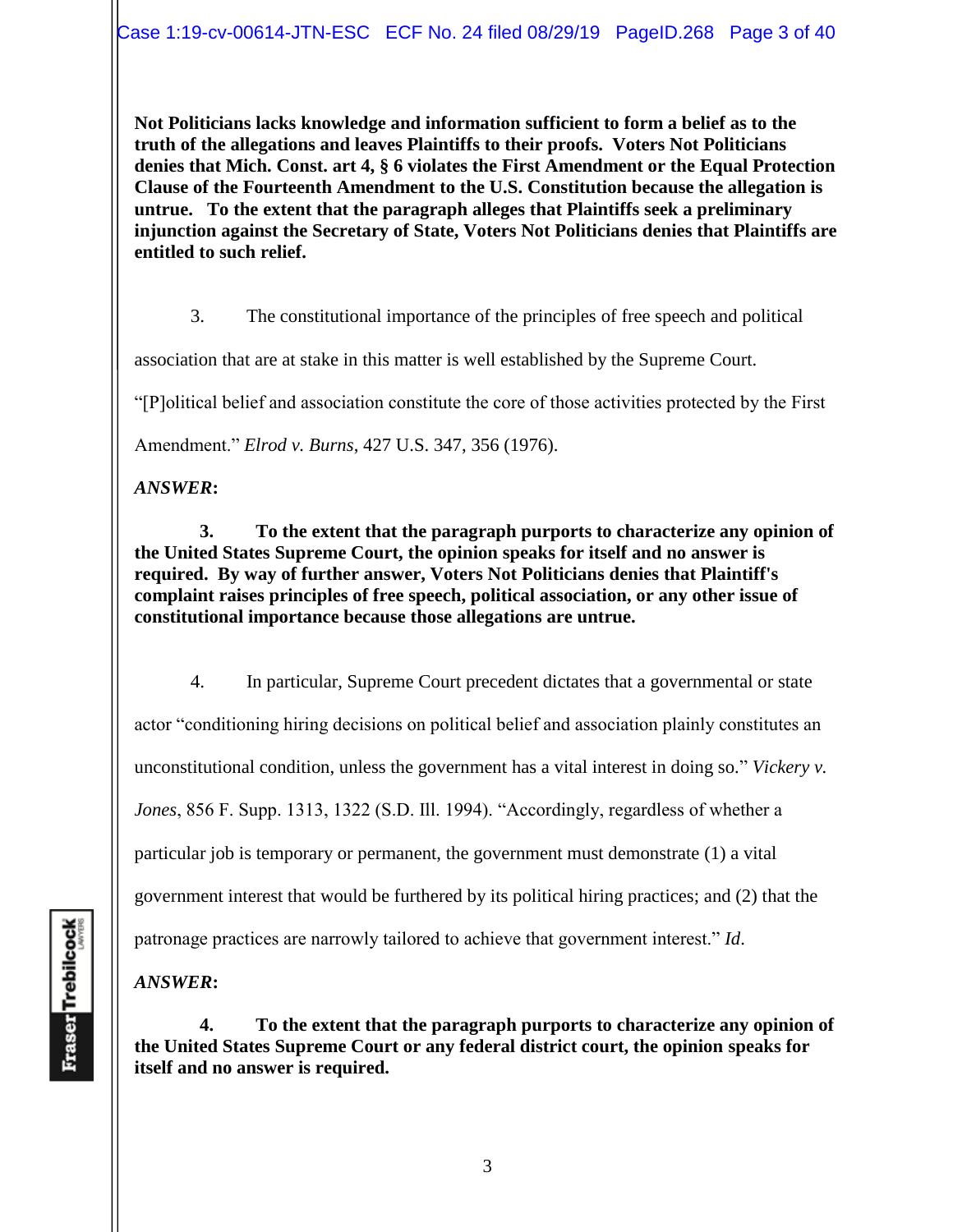**Not Politicians lacks knowledge and information sufficient to form a belief as to the truth of the allegations and leaves Plaintiffs to their proofs. Voters Not Politicians denies that Mich. Const. art 4, § 6 violates the First Amendment or the Equal Protection Clause of the Fourteenth Amendment to the U.S. Constitution because the allegation is untrue. To the extent that the paragraph alleges that Plaintiffs seek a preliminary injunction against the Secretary of State, Voters Not Politicians denies that Plaintiffs are entitled to such relief.** 

3. The constitutional importance of the principles of free speech and political

association that are at stake in this matter is well established by the Supreme Court.

"[P]olitical belief and association constitute the core of those activities protected by the First

Amendment." *Elrod v. Burns*, 427 U.S. 347, 356 (1976).

*ANSWER***:**

 **3. To the extent that the paragraph purports to characterize any opinion of the United States Supreme Court, the opinion speaks for itself and no answer is required. By way of further answer, Voters Not Politicians denies that Plaintiff's complaint raises principles of free speech, political association, or any other issue of constitutional importance because those allegations are untrue.**

4. In particular, Supreme Court precedent dictates that a governmental or state actor "conditioning hiring decisions on political belief and association plainly constitutes an unconstitutional condition, unless the government has a vital interest in doing so*.*" *Vickery v. Jones*, 856 F. Supp. 1313, 1322 (S.D. Ill. 1994). "Accordingly, regardless of whether a particular job is temporary or permanent, the government must demonstrate (1) a vital government interest that would be furthered by its political hiring practices; and (2) that the patronage practices are narrowly tailored to achieve that government interest." *Id*.

*ANSWER***:**

 **4. To the extent that the paragraph purports to characterize any opinion of the United States Supreme Court or any federal district court, the opinion speaks for itself and no answer is required.**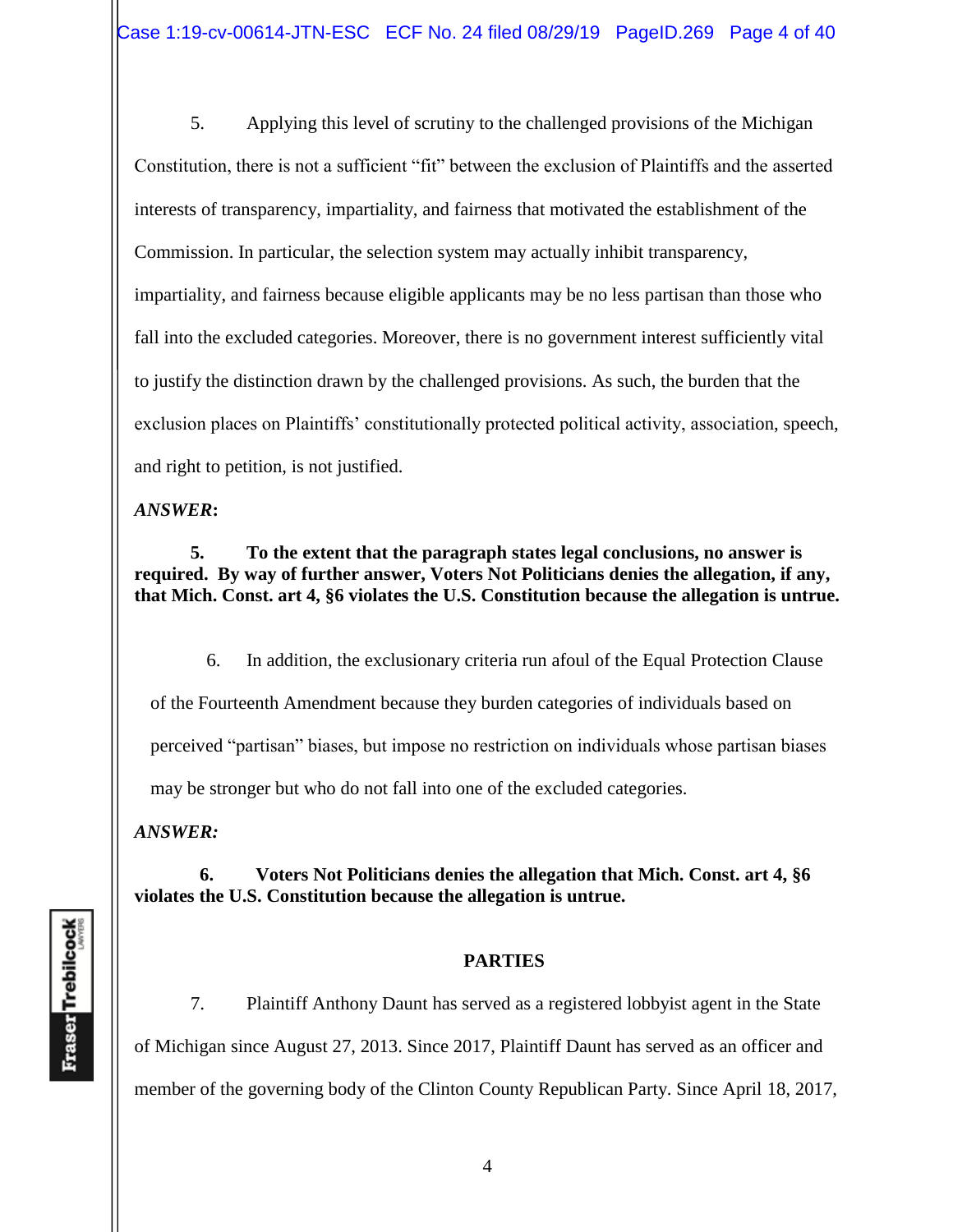5. Applying this level of scrutiny to the challenged provisions of the Michigan Constitution, there is not a sufficient "fit" between the exclusion of Plaintiffs and the asserted interests of transparency, impartiality, and fairness that motivated the establishment of the Commission. In particular, the selection system may actually inhibit transparency, impartiality, and fairness because eligible applicants may be no less partisan than those who fall into the excluded categories. Moreover, there is no government interest sufficiently vital to justify the distinction drawn by the challenged provisions. As such, the burden that the exclusion places on Plaintiffs' constitutionally protected political activity, association, speech, and right to petition, is not justified.

*ANSWER***:**

**5. To the extent that the paragraph states legal conclusions, no answer is required. By way of further answer, Voters Not Politicians denies the allegation, if any, that Mich. Const. art 4, §6 violates the U.S. Constitution because the allegation is untrue.** 

6. In addition, the exclusionary criteria run afoul of the Equal Protection Clause of the Fourteenth Amendment because they burden categories of individuals based on perceived "partisan" biases, but impose no restriction on individuals whose partisan biases may be stronger but who do not fall into one of the excluded categories.

*ANSWER:*

 **6. Voters Not Politicians denies the allegation that Mich. Const. art 4, §6 violates the U.S. Constitution because the allegation is untrue.**

#### **PARTIES**

7. Plaintiff Anthony Daunt has served as a registered lobbyist agent in the State of Michigan since August 27, 2013. Since 2017, Plaintiff Daunt has served as an officer and member of the governing body of the Clinton County Republican Party. Since April 18, 2017,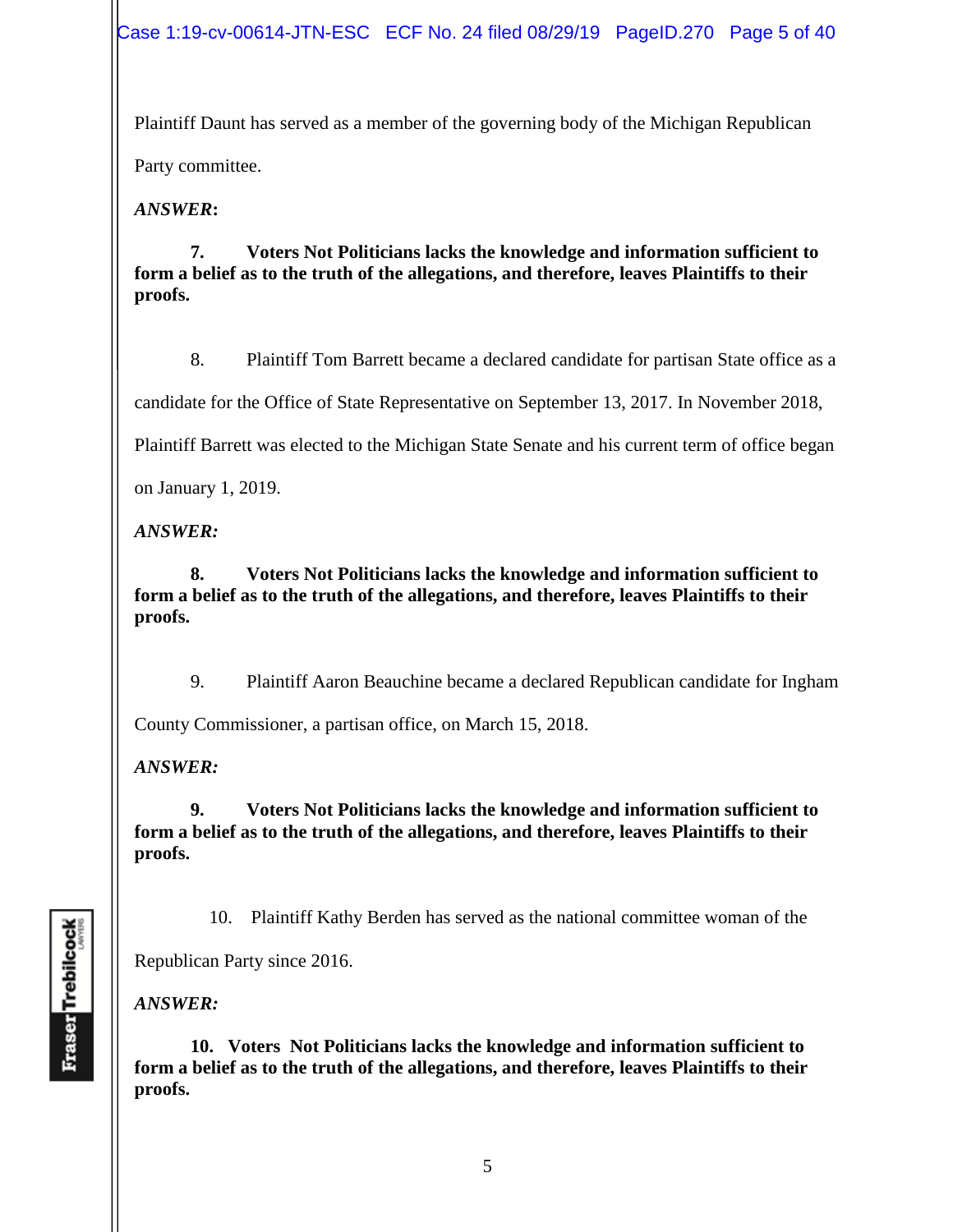Case 1:19-cv-00614-JTN-ESC ECF No. 24 filed 08/29/19 PageID.270 Page 5 of 40

Plaintiff Daunt has served as a member of the governing body of the Michigan Republican

Party committee.

*ANSWER***:**

**7. Voters Not Politicians lacks the knowledge and information sufficient to form a belief as to the truth of the allegations, and therefore, leaves Plaintiffs to their proofs.**

8. Plaintiff Tom Barrett became a declared candidate for partisan State office as a

candidate for the Office of State Representative on September 13, 2017. In November 2018,

Plaintiff Barrett was elected to the Michigan State Senate and his current term of office began

on January 1, 2019.

*ANSWER:*

**8. Voters Not Politicians lacks the knowledge and information sufficient to form a belief as to the truth of the allegations, and therefore, leaves Plaintiffs to their proofs.** 

9. Plaintiff Aaron Beauchine became a declared Republican candidate for Ingham

County Commissioner, a partisan office, on March 15, 2018.

*ANSWER:*

**9. Voters Not Politicians lacks the knowledge and information sufficient to form a belief as to the truth of the allegations, and therefore, leaves Plaintiffs to their proofs.** 

10. Plaintiff Kathy Berden has served as the national committee woman of the

Republican Party since 2016.

*ANSWER:*

**10. Voters Not Politicians lacks the knowledge and information sufficient to form a belief as to the truth of the allegations, and therefore, leaves Plaintiffs to their proofs.**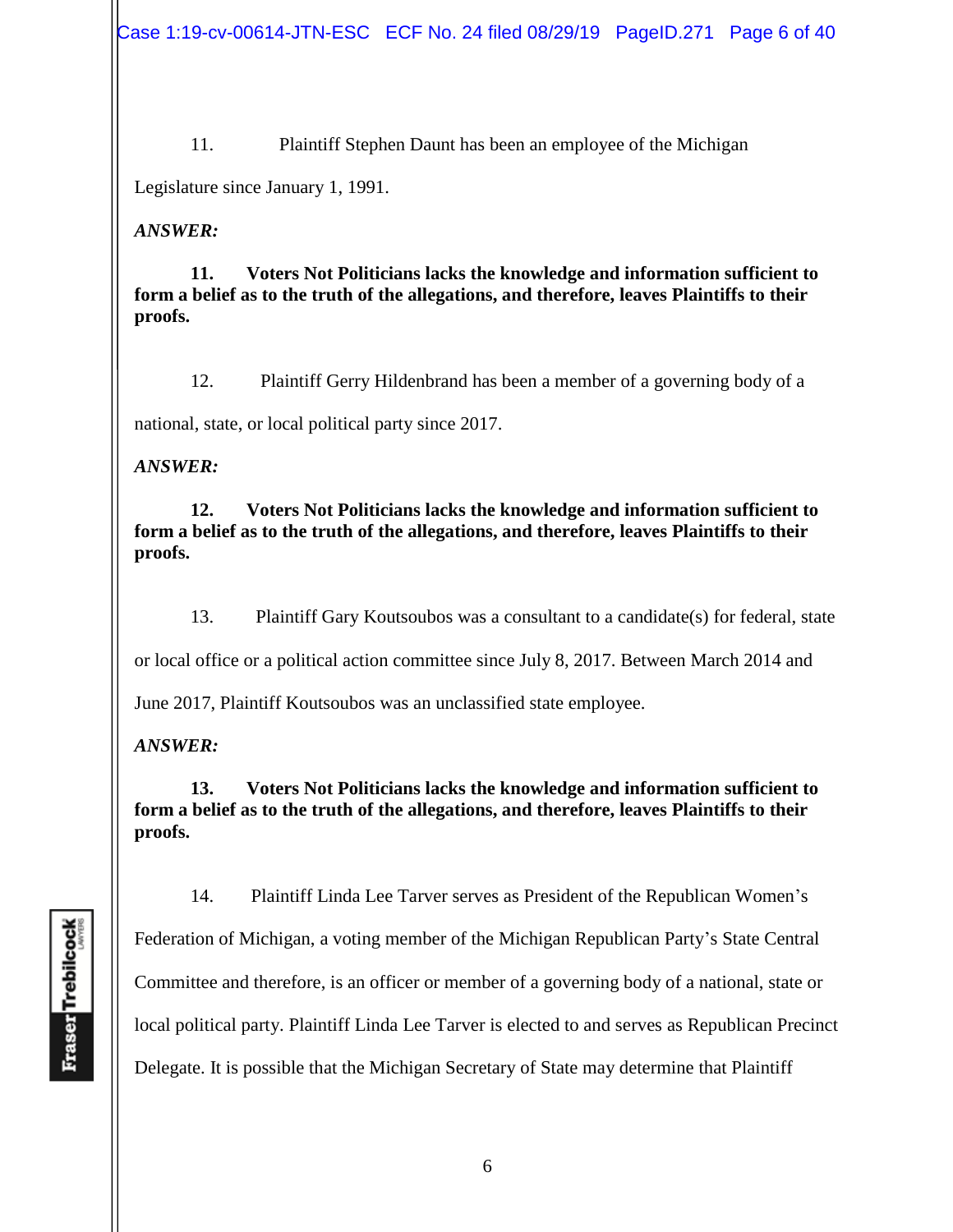11. Plaintiff Stephen Daunt has been an employee of the Michigan

Legislature since January 1, 1991.

### *ANSWER:*

**11. Voters Not Politicians lacks the knowledge and information sufficient to form a belief as to the truth of the allegations, and therefore, leaves Plaintiffs to their proofs.** 

12. Plaintiff Gerry Hildenbrand has been a member of a governing body of a

national, state, or local political party since 2017.

## *ANSWER:*

**12. Voters Not Politicians lacks the knowledge and information sufficient to form a belief as to the truth of the allegations, and therefore, leaves Plaintiffs to their proofs.** 

13. Plaintiff Gary Koutsoubos was a consultant to a candidate(s) for federal, state

or local office or a political action committee since July 8, 2017. Between March 2014 and

June 2017, Plaintiff Koutsoubos was an unclassified state employee.

# *ANSWER:*

**13. Voters Not Politicians lacks the knowledge and information sufficient to form a belief as to the truth of the allegations, and therefore, leaves Plaintiffs to their proofs.** 

14. Plaintiff Linda Lee Tarver serves as President of the Republican Women's

Federation of Michigan, a voting member of the Michigan Republican Party's State Central Committee and therefore, is an officer or member of a governing body of a national, state or local political party. Plaintiff Linda Lee Tarver is elected to and serves as Republican Precinct Delegate. It is possible that the Michigan Secretary of State may determine that Plaintiff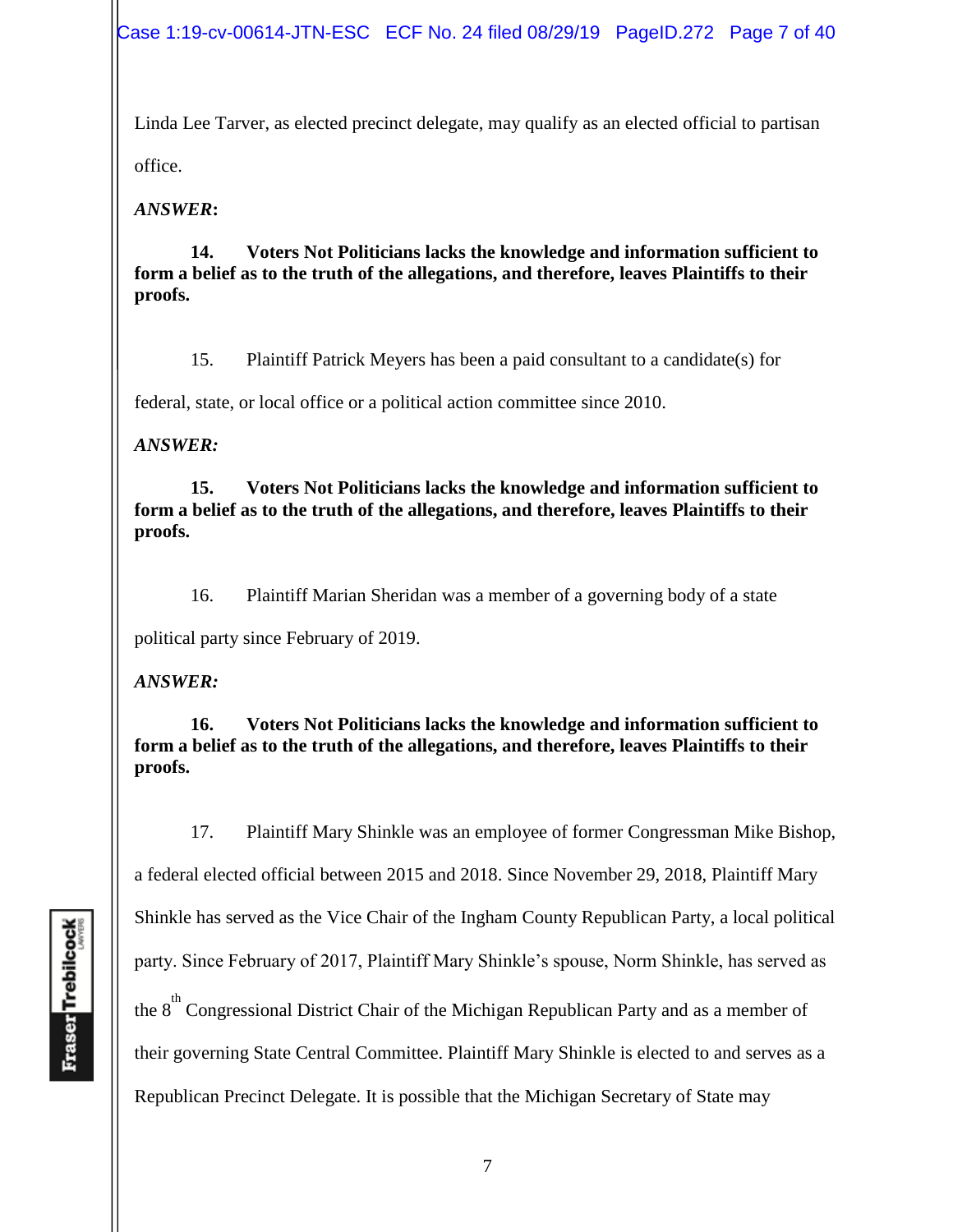Case 1:19-cv-00614-JTN-ESC ECF No. 24 filed 08/29/19 PageID.272 Page 7 of 40

Linda Lee Tarver, as elected precinct delegate, may qualify as an elected official to partisan office.

*ANSWER***:**

**14. Voters Not Politicians lacks the knowledge and information sufficient to form a belief as to the truth of the allegations, and therefore, leaves Plaintiffs to their proofs.** 

15. Plaintiff Patrick Meyers has been a paid consultant to a candidate(s) for

federal, state, or local office or a political action committee since 2010.

*ANSWER:*

**15. Voters Not Politicians lacks the knowledge and information sufficient to form a belief as to the truth of the allegations, and therefore, leaves Plaintiffs to their proofs.** 

16. Plaintiff Marian Sheridan was a member of a governing body of a state

political party since February of 2019.

*ANSWER:*

**16. Voters Not Politicians lacks the knowledge and information sufficient to form a belief as to the truth of the allegations, and therefore, leaves Plaintiffs to their proofs.** 

17. Plaintiff Mary Shinkle was an employee of former Congressman Mike Bishop, a federal elected official between 2015 and 2018. Since November 29, 2018, Plaintiff Mary Shinkle has served as the Vice Chair of the Ingham County Republican Party, a local political party. Since February of 2017, Plaintiff Mary Shinkle's spouse, Norm Shinkle, has served as the  $8<sup>th</sup>$  Congressional District Chair of the Michigan Republican Party and as a member of their governing State Central Committee. Plaintiff Mary Shinkle is elected to and serves as a Republican Precinct Delegate. It is possible that the Michigan Secretary of State may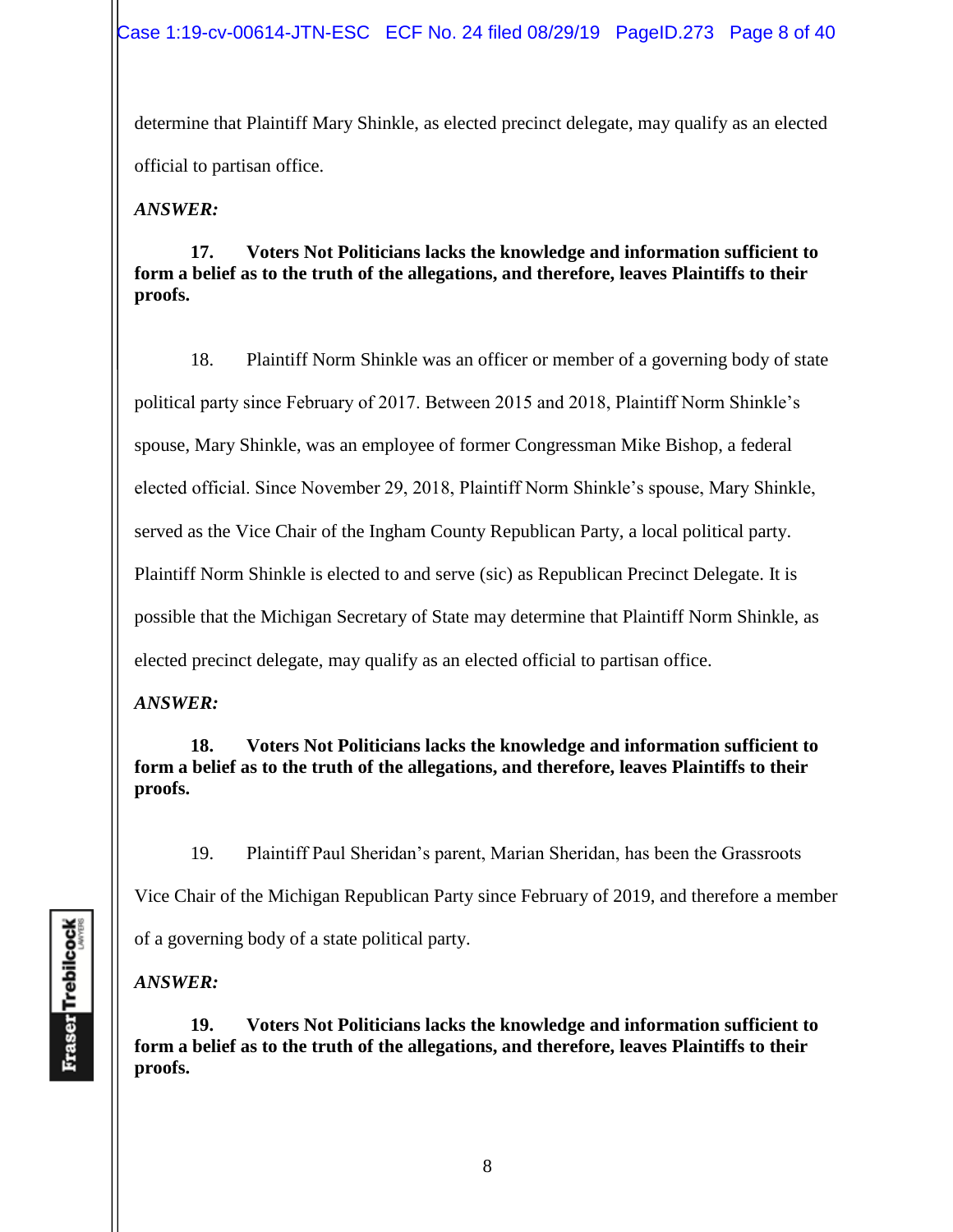determine that Plaintiff Mary Shinkle, as elected precinct delegate, may qualify as an elected official to partisan office.

*ANSWER:*

**17. Voters Not Politicians lacks the knowledge and information sufficient to form a belief as to the truth of the allegations, and therefore, leaves Plaintiffs to their proofs.** 

18. Plaintiff Norm Shinkle was an officer or member of a governing body of state political party since February of 2017. Between 2015 and 2018, Plaintiff Norm Shinkle's spouse, Mary Shinkle, was an employee of former Congressman Mike Bishop, a federal elected official. Since November 29, 2018, Plaintiff Norm Shinkle's spouse, Mary Shinkle, served as the Vice Chair of the Ingham County Republican Party, a local political party. Plaintiff Norm Shinkle is elected to and serve (sic) as Republican Precinct Delegate. It is possible that the Michigan Secretary of State may determine that Plaintiff Norm Shinkle, as elected precinct delegate, may qualify as an elected official to partisan office.

*ANSWER:*

**18. Voters Not Politicians lacks the knowledge and information sufficient to form a belief as to the truth of the allegations, and therefore, leaves Plaintiffs to their proofs.** 

19. Plaintiff Paul Sheridan's parent, Marian Sheridan, has been the Grassroots

Vice Chair of the Michigan Republican Party since February of 2019, and therefore a member

of a governing body of a state political party.

*ANSWER:*

**19. Voters Not Politicians lacks the knowledge and information sufficient to form a belief as to the truth of the allegations, and therefore, leaves Plaintiffs to their proofs.**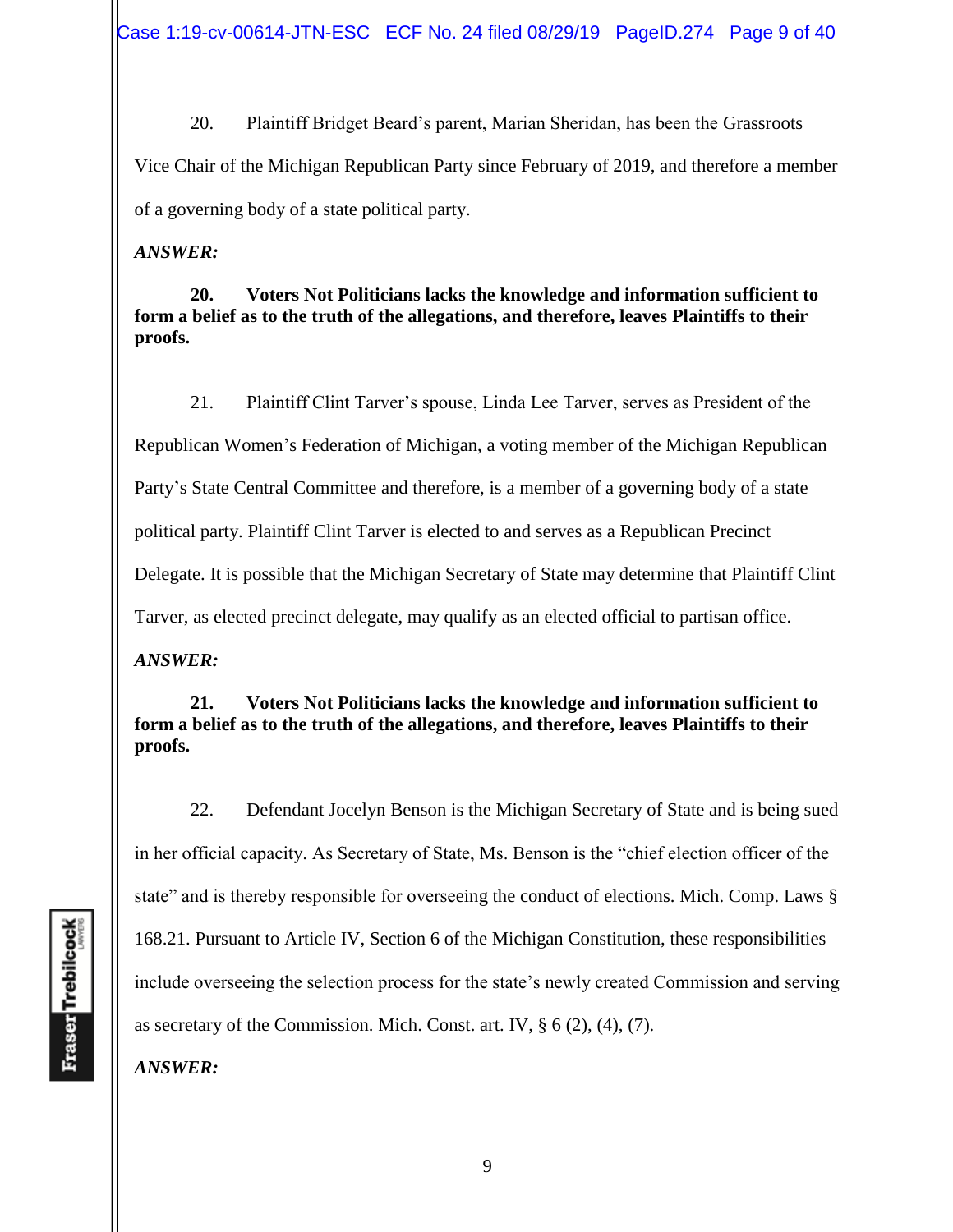20. Plaintiff Bridget Beard's parent, Marian Sheridan, has been the Grassroots Vice Chair of the Michigan Republican Party since February of 2019, and therefore a member of a governing body of a state political party.

*ANSWER:*

**20. Voters Not Politicians lacks the knowledge and information sufficient to form a belief as to the truth of the allegations, and therefore, leaves Plaintiffs to their proofs.** 

21. Plaintiff Clint Tarver's spouse, Linda Lee Tarver, serves as President of the Republican Women's Federation of Michigan, a voting member of the Michigan Republican Party's State Central Committee and therefore, is a member of a governing body of a state political party. Plaintiff Clint Tarver is elected to and serves as a Republican Precinct Delegate. It is possible that the Michigan Secretary of State may determine that Plaintiff Clint Tarver, as elected precinct delegate, may qualify as an elected official to partisan office.

*ANSWER:*

**21. Voters Not Politicians lacks the knowledge and information sufficient to form a belief as to the truth of the allegations, and therefore, leaves Plaintiffs to their proofs.** 

22. Defendant Jocelyn Benson is the Michigan Secretary of State and is being sued in her official capacity. As Secretary of State, Ms. Benson is the "chief election officer of the state" and is thereby responsible for overseeing the conduct of elections. Mich. Comp. Laws § 168.21. Pursuant to Article IV, Section 6 of the Michigan Constitution, these responsibilities include overseeing the selection process for the state's newly created Commission and serving as secretary of the Commission. Mich. Const. art. IV, § 6 (2), (4), (7).

*ANSWER:*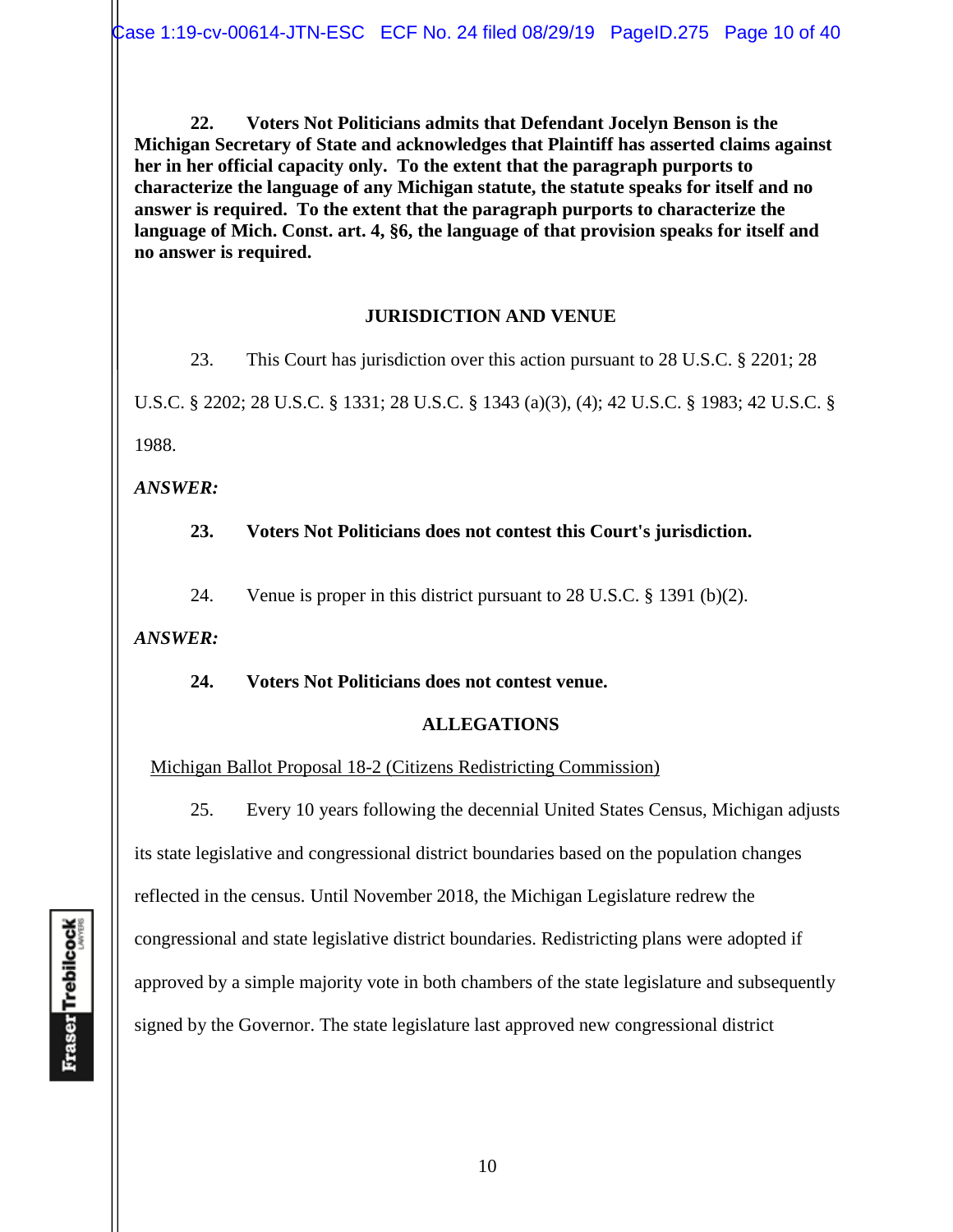**22. Voters Not Politicians admits that Defendant Jocelyn Benson is the Michigan Secretary of State and acknowledges that Plaintiff has asserted claims against her in her official capacity only. To the extent that the paragraph purports to characterize the language of any Michigan statute, the statute speaks for itself and no answer is required. To the extent that the paragraph purports to characterize the language of Mich. Const. art. 4, §6, the language of that provision speaks for itself and no answer is required.** 

#### **JURISDICTION AND VENUE**

23. This Court has jurisdiction over this action pursuant to 28 U.S.C. § 2201; 28 U.S.C. § 2202; 28 U.S.C. § 1331; 28 U.S.C. § 1343 (a)(3), (4); 42 U.S.C. § 1983; 42 U.S.C. § 1988.

*ANSWER:*

**23. Voters Not Politicians does not contest this Court's jurisdiction.** 

24. Venue is proper in this district pursuant to 28 U.S.C. § 1391 (b)(2).

*ANSWER:*

**24. Voters Not Politicians does not contest venue.** 

### **ALLEGATIONS**

Michigan Ballot Proposal 18-2 (Citizens Redistricting Commission)

25. Every 10 years following the decennial United States Census, Michigan adjusts its state legislative and congressional district boundaries based on the population changes reflected in the census. Until November 2018, the Michigan Legislature redrew the congressional and state legislative district boundaries. Redistricting plans were adopted if approved by a simple majority vote in both chambers of the state legislature and subsequently signed by the Governor. The state legislature last approved new congressional district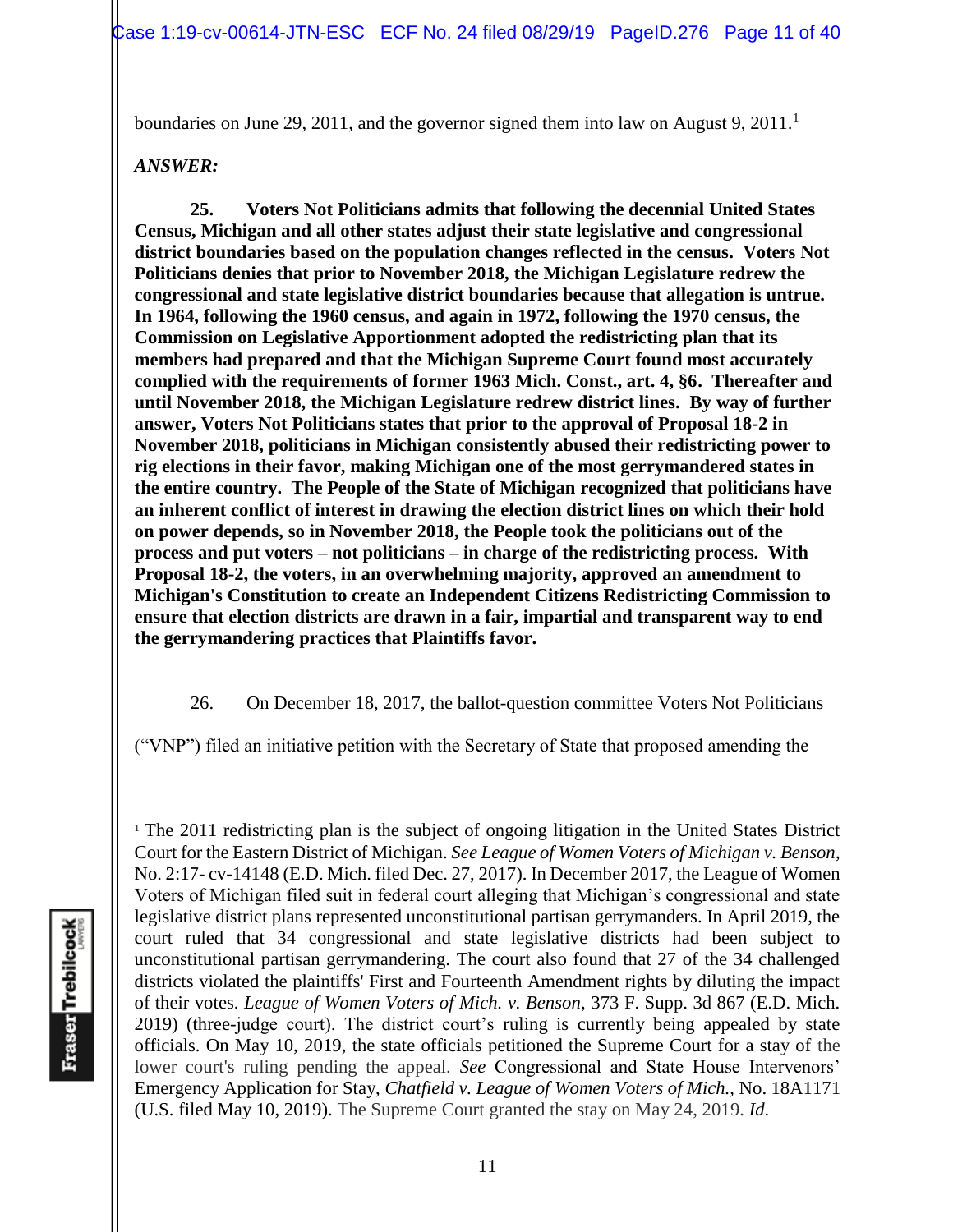boundaries on June 29, 2011, and the governor signed them into law on August 9, 2011.<sup>1</sup>

#### *ANSWER:*

**25. Voters Not Politicians admits that following the decennial United States Census, Michigan and all other states adjust their state legislative and congressional district boundaries based on the population changes reflected in the census. Voters Not Politicians denies that prior to November 2018, the Michigan Legislature redrew the congressional and state legislative district boundaries because that allegation is untrue. In 1964, following the 1960 census, and again in 1972, following the 1970 census, the Commission on Legislative Apportionment adopted the redistricting plan that its members had prepared and that the Michigan Supreme Court found most accurately complied with the requirements of former 1963 Mich. Const., art. 4, §6. Thereafter and until November 2018, the Michigan Legislature redrew district lines. By way of further answer, Voters Not Politicians states that prior to the approval of Proposal 18-2 in November 2018, politicians in Michigan consistently abused their redistricting power to rig elections in their favor, making Michigan one of the most gerrymandered states in the entire country. The People of the State of Michigan recognized that politicians have an inherent conflict of interest in drawing the election district lines on which their hold on power depends, so in November 2018, the People took the politicians out of the process and put voters – not politicians – in charge of the redistricting process. With Proposal 18-2, the voters, in an overwhelming majority, approved an amendment to Michigan's Constitution to create an Independent Citizens Redistricting Commission to ensure that election districts are drawn in a fair, impartial and transparent way to end the gerrymandering practices that Plaintiffs favor.** 

26. On December 18, 2017, the ballot-question committee Voters Not Politicians

("VNP") filed an initiative petition with the Secretary of State that proposed amending the

<sup>&</sup>lt;sup>1</sup> The 2011 redistricting plan is the subject of ongoing litigation in the United States District Court for the Eastern District of Michigan. *See League of Women Voters of Michigan v. Benson*, No. 2:17- cv-14148 (E.D. Mich. filed Dec. 27, 2017). In December 2017, the League of Women Voters of Michigan filed suit in federal court alleging that Michigan's congressional and state legislative district plans represented unconstitutional partisan gerrymanders. In April 2019, the court ruled that 34 congressional and state legislative districts had been subject to unconstitutional partisan gerrymandering. The court also found that 27 of the 34 challenged districts violated the plaintiffs' First and Fourteenth Amendment rights by diluting the impact of their votes. *League of Women Voters of Mich. v. Benson*, 373 F. Supp. 3d 867 (E.D. Mich. 2019) (three-judge court). The district court's ruling is currently being appealed by state officials. On May 10, 2019, the state officials petitioned the Supreme Court for a stay of the lower court's ruling pending the appeal. *See* Congressional and State House Intervenors' Emergency Application for Stay, *Chatfield v. League of Women Voters of Mich.,* No. 18A1171 (U.S. filed May 10, 2019). The Supreme Court granted the stay on May 24, 2019. *Id*.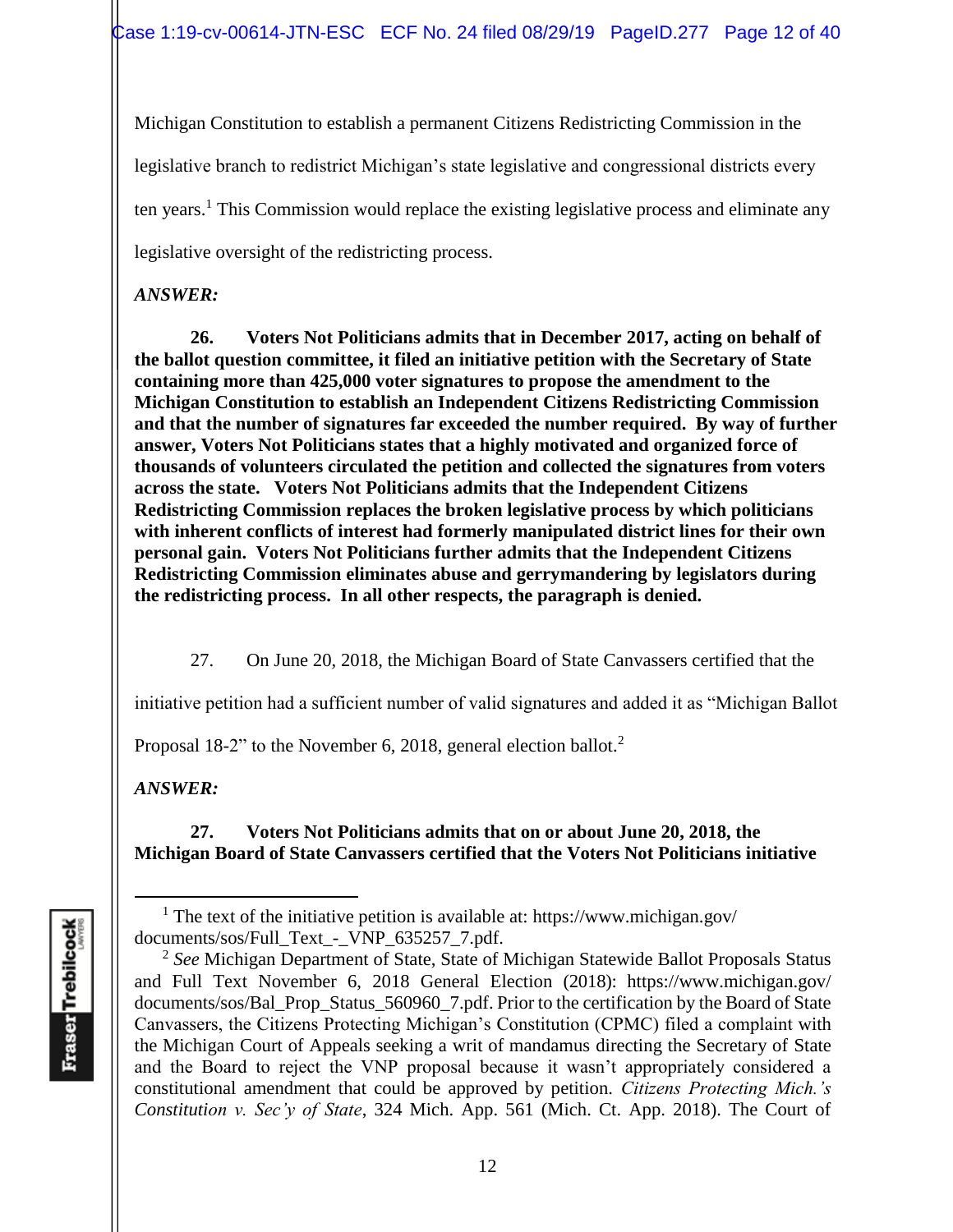Michigan Constitution to establish a permanent Citizens Redistricting Commission in the legislative branch to redistrict Michigan's state legislative and congressional districts every ten years.<sup>1</sup> This Commission would replace the existing legislative process and eliminate any legislative oversight of the redistricting process.

### *ANSWER:*

**26. Voters Not Politicians admits that in December 2017, acting on behalf of the ballot question committee, it filed an initiative petition with the Secretary of State containing more than 425,000 voter signatures to propose the amendment to the Michigan Constitution to establish an Independent Citizens Redistricting Commission and that the number of signatures far exceeded the number required. By way of further answer, Voters Not Politicians states that a highly motivated and organized force of thousands of volunteers circulated the petition and collected the signatures from voters across the state. Voters Not Politicians admits that the Independent Citizens Redistricting Commission replaces the broken legislative process by which politicians with inherent conflicts of interest had formerly manipulated district lines for their own personal gain. Voters Not Politicians further admits that the Independent Citizens Redistricting Commission eliminates abuse and gerrymandering by legislators during the redistricting process. In all other respects, the paragraph is denied.** 

27. On June 20, 2018, the Michigan Board of State Canvassers certified that the

initiative petition had a sufficient number of valid signatures and added it as "Michigan Ballot

Proposal 18-2" to the November 6, 2018, general election ballot.<sup>2</sup>

*ANSWER:*

## **27. Voters Not Politicians admits that on or about June 20, 2018, the Michigan Board of State Canvassers certified that the Voters Not Politicians initiative**

<sup>&</sup>lt;sup>1</sup> The text of the initiative petition is available at: https://www.michigan.gov/ documents/sos/Full\_Text\_-\_VNP\_635257\_7.pdf.

<sup>2</sup> *See* Michigan Department of State, State of Michigan Statewide Ballot Proposals Status and Full Text November 6, 2018 General Election (2018): https://www.michigan.gov/ documents/sos/Bal\_Prop\_Status\_560960\_7.pdf. Prior to the certification by the Board of State Canvassers, the Citizens Protecting Michigan's Constitution (CPMC) filed a complaint with the Michigan Court of Appeals seeking a writ of mandamus directing the Secretary of State and the Board to reject the VNP proposal because it wasn't appropriately considered a constitutional amendment that could be approved by petition. *Citizens Protecting Mich.'s Constitution v. Sec'y of State*, 324 Mich. App. 561 (Mich. Ct. App. 2018). The Court of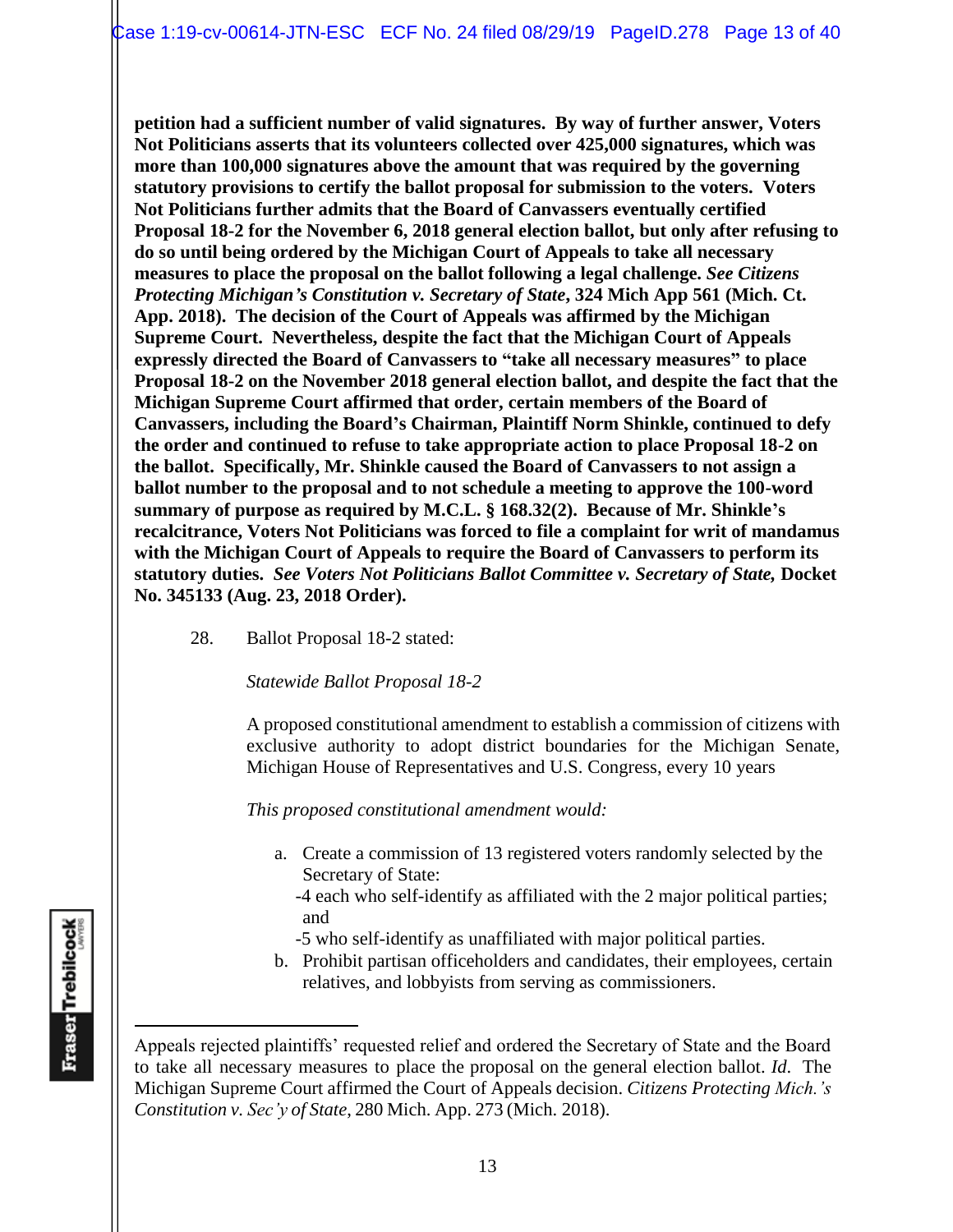**petition had a sufficient number of valid signatures. By way of further answer, Voters Not Politicians asserts that its volunteers collected over 425,000 signatures, which was more than 100,000 signatures above the amount that was required by the governing statutory provisions to certify the ballot proposal for submission to the voters. Voters Not Politicians further admits that the Board of Canvassers eventually certified Proposal 18-2 for the November 6, 2018 general election ballot, but only after refusing to do so until being ordered by the Michigan Court of Appeals to take all necessary measures to place the proposal on the ballot following a legal challenge.** *See Citizens Protecting Michigan's Constitution v. Secretary of State***, 324 Mich App 561 (Mich. Ct. App. 2018). The decision of the Court of Appeals was affirmed by the Michigan Supreme Court. Nevertheless, despite the fact that the Michigan Court of Appeals expressly directed the Board of Canvassers to "take all necessary measures" to place Proposal 18-2 on the November 2018 general election ballot, and despite the fact that the Michigan Supreme Court affirmed that order, certain members of the Board of Canvassers, including the Board's Chairman, Plaintiff Norm Shinkle, continued to defy the order and continued to refuse to take appropriate action to place Proposal 18-2 on the ballot. Specifically, Mr. Shinkle caused the Board of Canvassers to not assign a ballot number to the proposal and to not schedule a meeting to approve the 100-word summary of purpose as required by M.C.L. § 168.32(2). Because of Mr. Shinkle's recalcitrance, Voters Not Politicians was forced to file a complaint for writ of mandamus with the Michigan Court of Appeals to require the Board of Canvassers to perform its statutory duties.** *See Voters Not Politicians Ballot Committee v. Secretary of State,* **Docket No. 345133 (Aug. 23, 2018 Order).** 

28. Ballot Proposal 18-2 stated:

*Statewide Ballot Proposal 18-2*

A proposed constitutional amendment to establish a commission of citizens with exclusive authority to adopt district boundaries for the Michigan Senate, Michigan House of Representatives and U.S. Congress, every 10 years

*This proposed constitutional amendment would:*

- a. Create a commission of 13 registered voters randomly selected by the Secretary of State:
	- -4 each who self-identify as affiliated with the 2 major political parties; and
	- -5 who self-identify as unaffiliated with major political parties.
- b. Prohibit partisan officeholders and candidates, their employees, certain relatives, and lobbyists from serving as commissioners.

Appeals rejected plaintiffs' requested relief and ordered the Secretary of State and the Board to take all necessary measures to place the proposal on the general election ballot. *Id*. The Michigan Supreme Court affirmed the Court of Appeals decision. *Citizens Protecting Mich.'s Constitution v. Sec'y of State*, 280 Mich. App. 273 (Mich. 2018).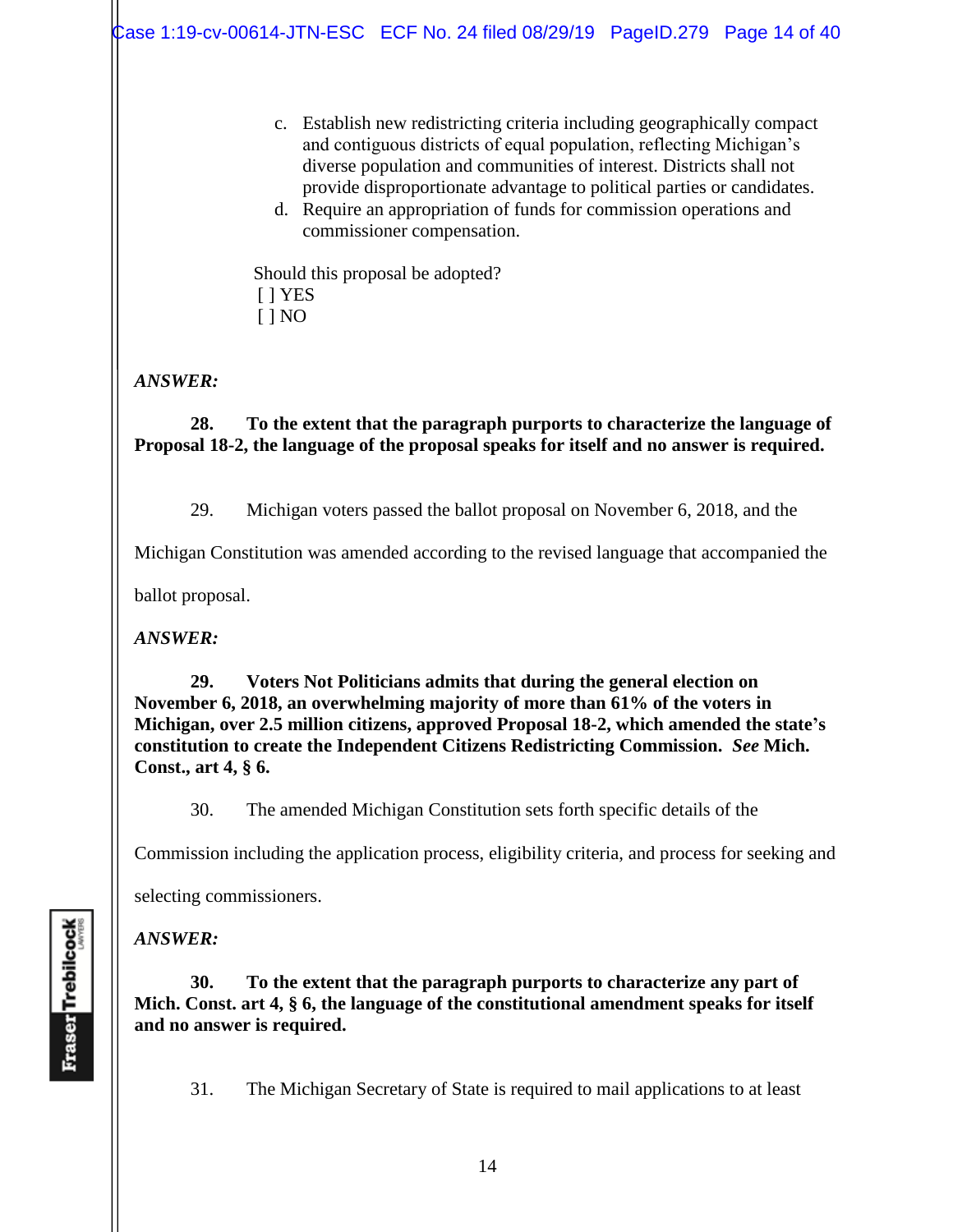- c. Establish new redistricting criteria including geographically compact and contiguous districts of equal population, reflecting Michigan's diverse population and communities of interest. Districts shall not provide disproportionate advantage to political parties or candidates.
- d. Require an appropriation of funds for commission operations and commissioner compensation.

Should this proposal be adopted? [ ] YES [ ] NO

*ANSWER:*

**28. To the extent that the paragraph purports to characterize the language of Proposal 18-2, the language of the proposal speaks for itself and no answer is required.**

29. Michigan voters passed the ballot proposal on November 6, 2018, and the

Michigan Constitution was amended according to the revised language that accompanied the

ballot proposal.

*ANSWER:*

**29. Voters Not Politicians admits that during the general election on November 6, 2018, an overwhelming majority of more than 61% of the voters in Michigan, over 2.5 million citizens, approved Proposal 18-2, which amended the state's constitution to create the Independent Citizens Redistricting Commission.** *See* **Mich. Const., art 4, § 6.**

30. The amended Michigan Constitution sets forth specific details of the

Commission including the application process, eligibility criteria, and process for seeking and

selecting commissioners.

### *ANSWER:*

**30. To the extent that the paragraph purports to characterize any part of Mich. Const. art 4, § 6, the language of the constitutional amendment speaks for itself and no answer is required.** 

31. The Michigan Secretary of State is required to mail applications to at least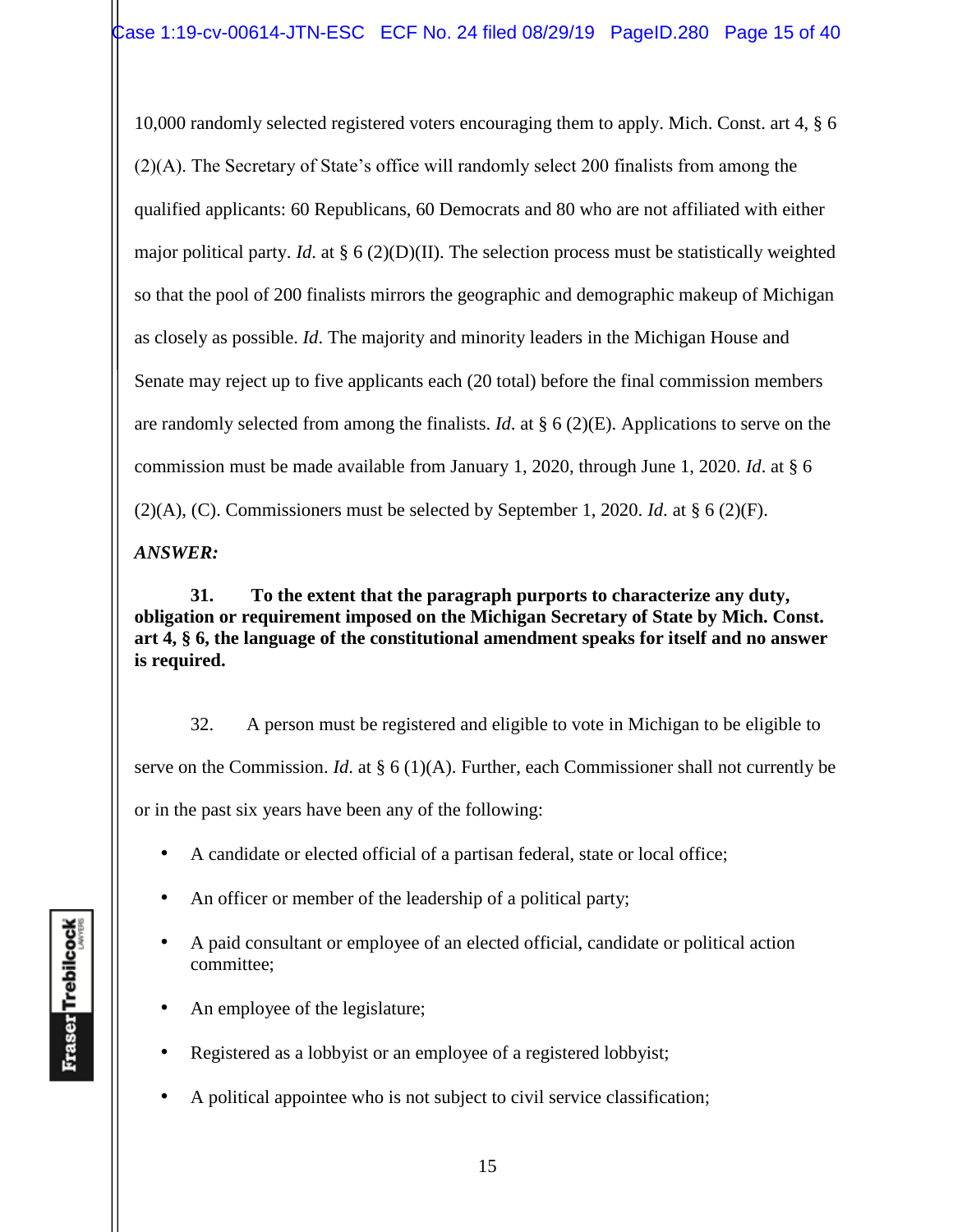10,000 randomly selected registered voters encouraging them to apply. Mich. Const. art 4, § 6 (2)(A). The Secretary of State's office will randomly select 200 finalists from among the qualified applicants: 60 Republicans, 60 Democrats and 80 who are not affiliated with either major political party. *Id*. at § 6 (2)(D)(II). The selection process must be statistically weighted so that the pool of 200 finalists mirrors the geographic and demographic makeup of Michigan as closely as possible. *Id*. The majority and minority leaders in the Michigan House and Senate may reject up to five applicants each (20 total) before the final commission members are randomly selected from among the finalists. *Id*. at § 6 (2)(E). Applications to serve on the commission must be made available from January 1, 2020, through June 1, 2020. *Id*. at § 6 (2)(A), (C). Commissioners must be selected by September 1, 2020. *Id*. at § 6 (2)(F).

*ANSWER:*

**31. To the extent that the paragraph purports to characterize any duty, obligation or requirement imposed on the Michigan Secretary of State by Mich. Const. art 4, § 6, the language of the constitutional amendment speaks for itself and no answer is required.** 

32. A person must be registered and eligible to vote in Michigan to be eligible to serve on the Commission. *Id*. at § 6 (1)(A). Further, each Commissioner shall not currently be or in the past six years have been any of the following:

- A candidate or elected official of a partisan federal, state or local office;
- An officer or member of the leadership of a political party;
- A paid consultant or employee of an elected official, candidate or political action committee;
- An employee of the legislature;
- Registered as a lobbyist or an employee of a registered lobbyist;
- A political appointee who is not subject to civil service classification;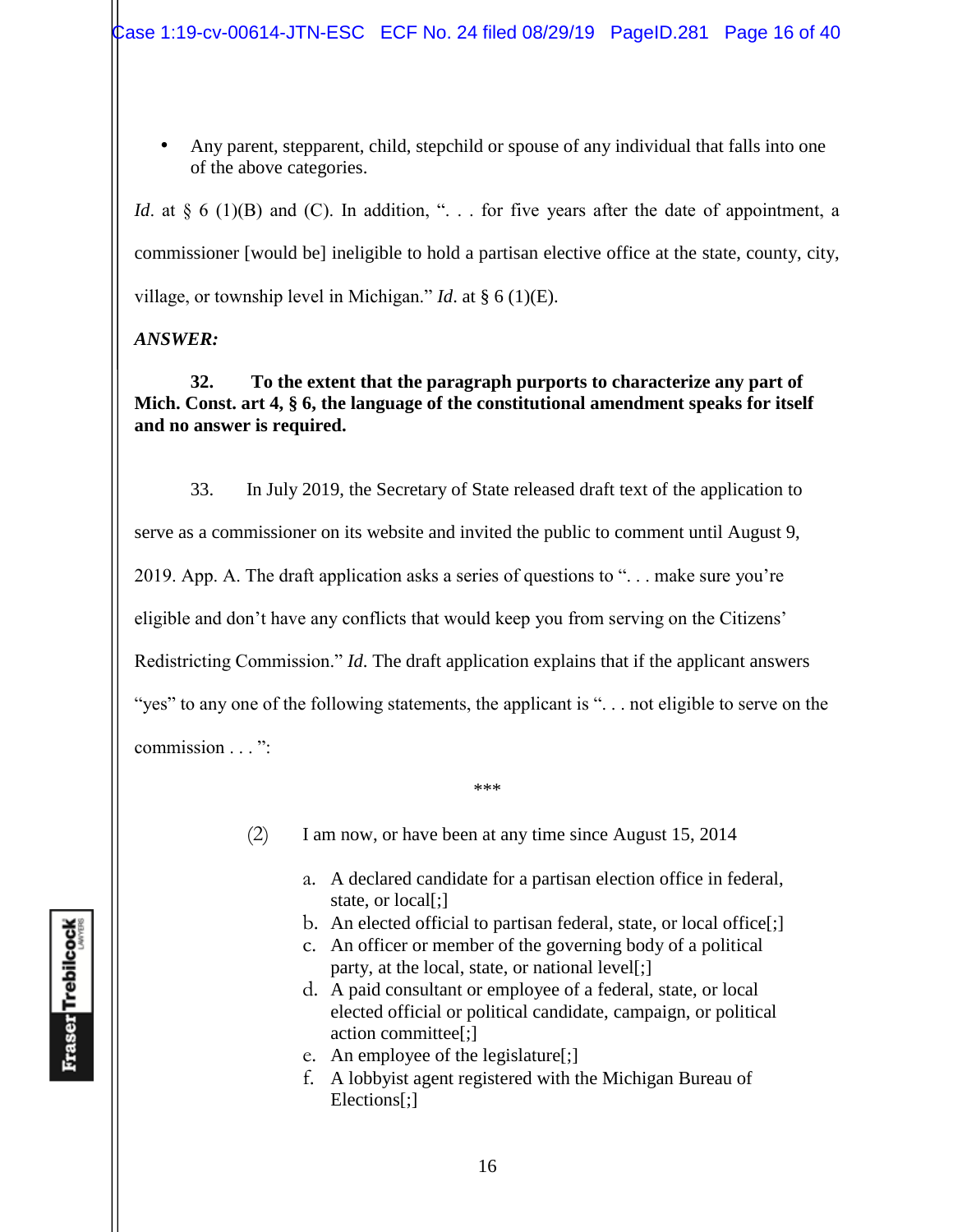• Any parent, stepparent, child, stepchild or spouse of any individual that falls into one of the above categories.

*Id.* at § 6 (1)(B) and (C). In addition, ". . . for five years after the date of appointment, a commissioner [would be] ineligible to hold a partisan elective office at the state, county, city, village, or township level in Michigan." *Id*. at § 6 (1)(E).

*ANSWER:*

**32. To the extent that the paragraph purports to characterize any part of Mich. Const. art 4, § 6, the language of the constitutional amendment speaks for itself and no answer is required.** 

33. In July 2019, the Secretary of State released draft text of the application to serve as a commissioner on its website and invited the public to comment until August 9, 2019. App. A. The draft application asks a series of questions to ". . . make sure you're eligible and don't have any conflicts that would keep you from serving on the Citizens' Redistricting Commission." *Id*. The draft application explains that if the applicant answers "yes" to any one of the following statements, the applicant is ". . . not eligible to serve on the commission . . . ":

(2) I am now, or have been at any time since August 15, 2014

\*\*\*

- a. A declared candidate for a partisan election office in federal, state, or local[;]
- b. An elected official to partisan federal, state, or local office[;]
- c. An officer or member of the governing body of a political party, at the local, state, or national level[;]
- d. A paid consultant or employee of a federal, state, or local elected official or political candidate, campaign, or political action committee[;]
- e. An employee of the legislature[;]
- f. A lobbyist agent registered with the Michigan Bureau of Elections[;]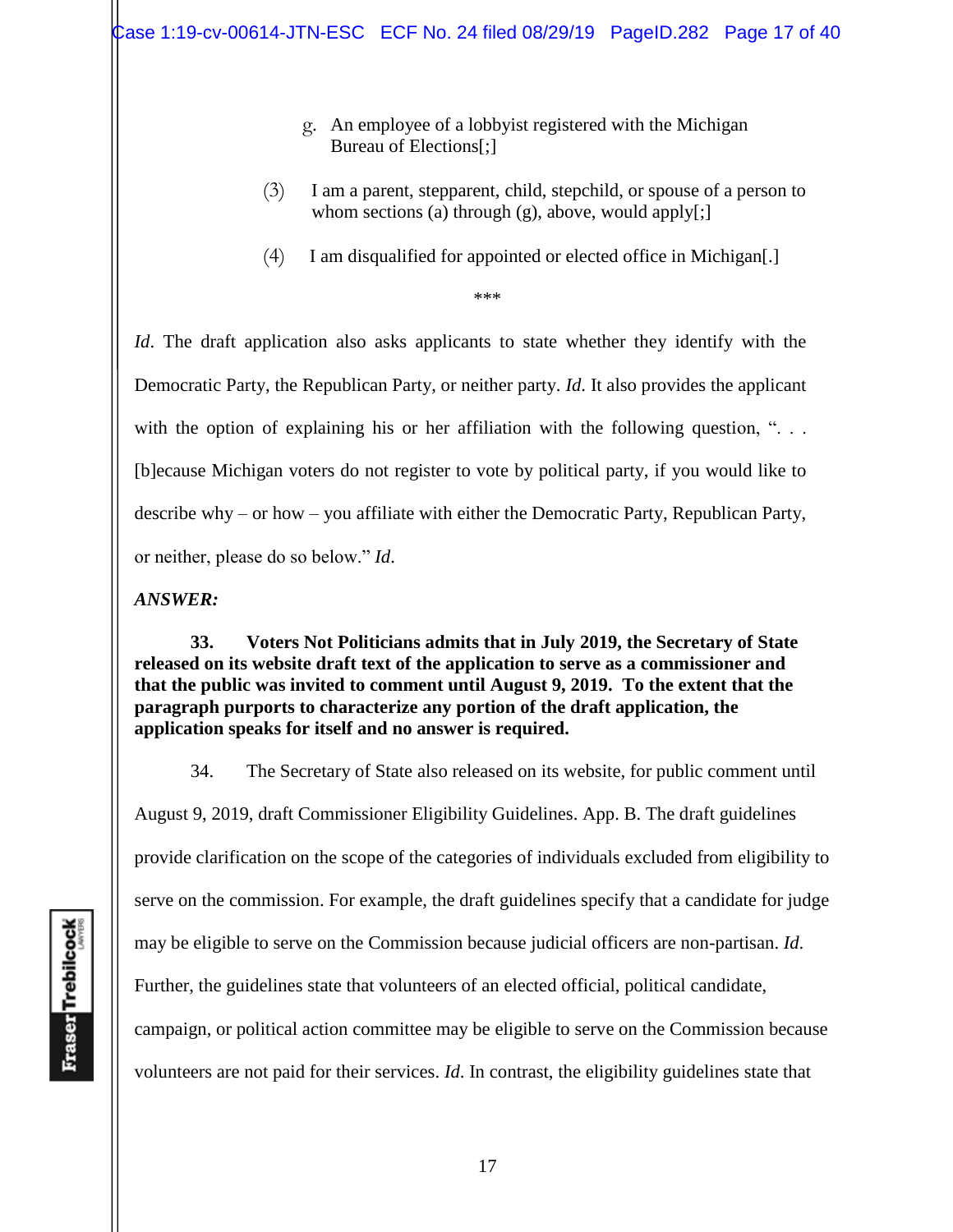- g. An employee of a lobbyist registered with the Michigan Bureau of Elections[;]
- (3) I am a parent, stepparent, child, stepchild, or spouse of a person to whom sections (a) through (g), above, would apply[;]
- (4) I am disqualified for appointed or elected office in Michigan[.]

\*\*\*

*Id*. The draft application also asks applicants to state whether they identify with the Democratic Party, the Republican Party, or neither party. *Id*. It also provides the applicant with the option of explaining his or her affiliation with the following question, "... [b]ecause Michigan voters do not register to vote by political party, if you would like to describe why – or how – you affiliate with either the Democratic Party, Republican Party, or neither, please do so below." *Id*.

#### *ANSWER:*

**33. Voters Not Politicians admits that in July 2019, the Secretary of State released on its website draft text of the application to serve as a commissioner and that the public was invited to comment until August 9, 2019. To the extent that the paragraph purports to characterize any portion of the draft application, the application speaks for itself and no answer is required.** 

34. The Secretary of State also released on its website, for public comment until August 9, 2019, draft Commissioner Eligibility Guidelines. App. B. The draft guidelines provide clarification on the scope of the categories of individuals excluded from eligibility to serve on the commission. For example, the draft guidelines specify that a candidate for judge may be eligible to serve on the Commission because judicial officers are non-partisan. *Id*. Further, the guidelines state that volunteers of an elected official, political candidate, campaign, or political action committee may be eligible to serve on the Commission because volunteers are not paid for their services. *Id*. In contrast, the eligibility guidelines state that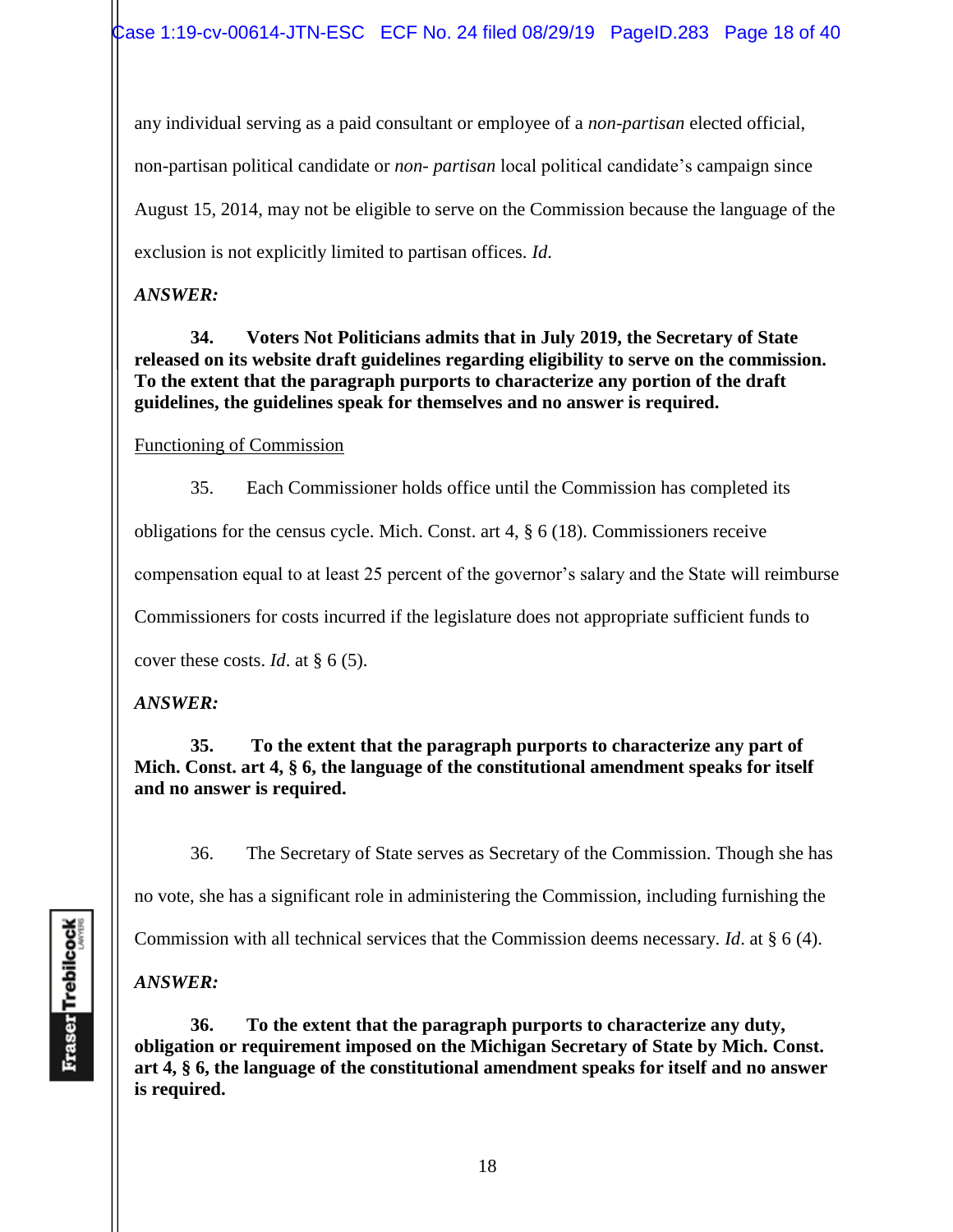any individual serving as a paid consultant or employee of a *non-partisan* elected official, non-partisan political candidate or *non- partisan* local political candidate's campaign since August 15, 2014, may not be eligible to serve on the Commission because the language of the exclusion is not explicitly limited to partisan offices. *Id*.

### *ANSWER:*

**34. Voters Not Politicians admits that in July 2019, the Secretary of State released on its website draft guidelines regarding eligibility to serve on the commission. To the extent that the paragraph purports to characterize any portion of the draft guidelines, the guidelines speak for themselves and no answer is required.** 

### Functioning of Commission

35. Each Commissioner holds office until the Commission has completed its

obligations for the census cycle. Mich. Const. art 4, § 6 (18). Commissioners receive

compensation equal to at least 25 percent of the governor's salary and the State will reimburse

Commissioners for costs incurred if the legislature does not appropriate sufficient funds to

cover these costs. *Id*. at § 6 (5).

# *ANSWER:*

#### **35. To the extent that the paragraph purports to characterize any part of Mich. Const. art 4, § 6, the language of the constitutional amendment speaks for itself and no answer is required.**

36. The Secretary of State serves as Secretary of the Commission. Though she has

no vote, she has a significant role in administering the Commission, including furnishing the

Commission with all technical services that the Commission deems necessary. *Id*. at § 6 (4).

*ANSWER:*

**36. To the extent that the paragraph purports to characterize any duty, obligation or requirement imposed on the Michigan Secretary of State by Mich. Const. art 4, § 6, the language of the constitutional amendment speaks for itself and no answer is required.**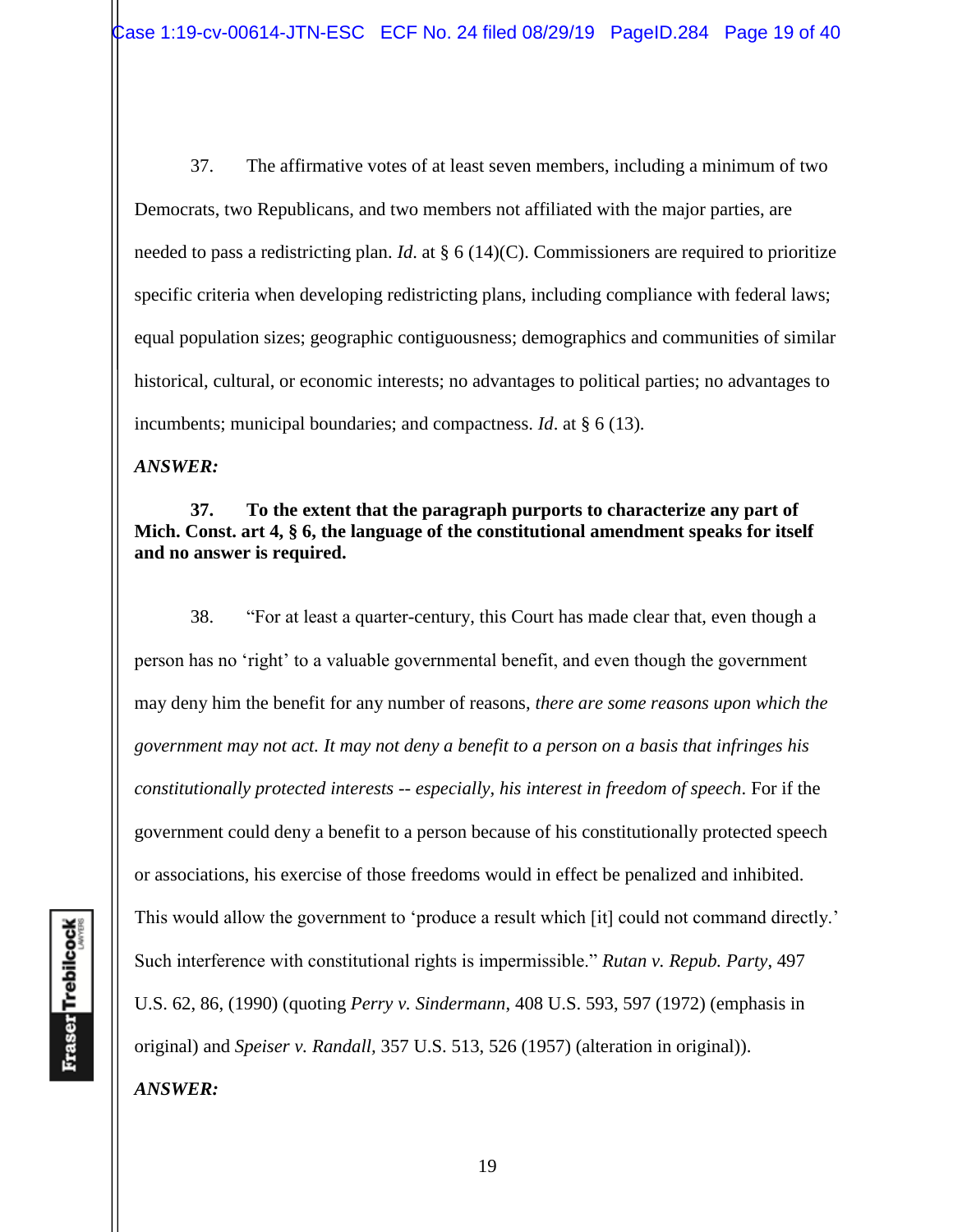37. The affirmative votes of at least seven members, including a minimum of two Democrats, two Republicans, and two members not affiliated with the major parties, are needed to pass a redistricting plan. *Id*. at § 6 (14)(C). Commissioners are required to prioritize specific criteria when developing redistricting plans, including compliance with federal laws; equal population sizes; geographic contiguousness; demographics and communities of similar historical, cultural, or economic interests; no advantages to political parties; no advantages to incumbents; municipal boundaries; and compactness. *Id*. at § 6 (13).

*ANSWER:*

**37. To the extent that the paragraph purports to characterize any part of Mich. Const. art 4, § 6, the language of the constitutional amendment speaks for itself and no answer is required.** 

38. "For at least a quarter-century, this Court has made clear that, even though a person has no 'right' to a valuable governmental benefit, and even though the government may deny him the benefit for any number of reasons, *there are some reasons upon which the government may not act. It may not deny a benefit to a person on a basis that infringes his constitutionally protected interests -- especially, his interest in freedom of speech*. For if the government could deny a benefit to a person because of his constitutionally protected speech or associations, his exercise of those freedoms would in effect be penalized and inhibited. This would allow the government to 'produce a result which [it] could not command directly.' Such interference with constitutional rights is impermissible." *Rutan v. Repub. Party*, 497 U.S. 62, 86, (1990) (quoting *Perry v. Sindermann*, 408 U.S. 593, 597 (1972) (emphasis in original) and *Speiser v. Randall,* 357 U.S. 513, 526 (1957) (alteration in original)). *ANSWER:*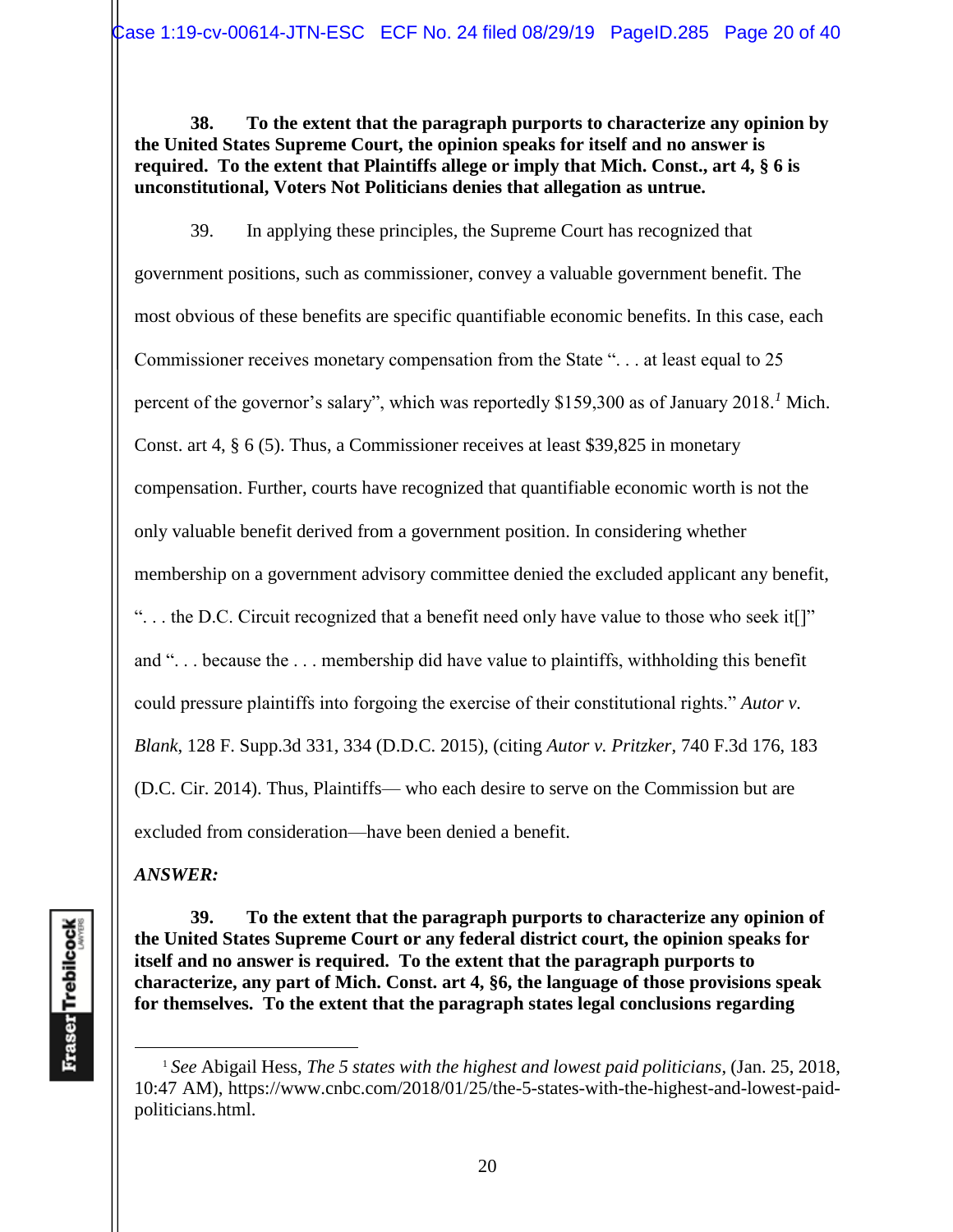**38. To the extent that the paragraph purports to characterize any opinion by the United States Supreme Court, the opinion speaks for itself and no answer is required. To the extent that Plaintiffs allege or imply that Mich. Const., art 4, § 6 is unconstitutional, Voters Not Politicians denies that allegation as untrue.** 

39. In applying these principles, the Supreme Court has recognized that government positions, such as commissioner, convey a valuable government benefit. The most obvious of these benefits are specific quantifiable economic benefits. In this case, each Commissioner receives monetary compensation from the State ". . . at least equal to 25 percent of the governor's salary", which was reportedly \$159,300 as of January 2018*. <sup>1</sup>* Mich. Const. art 4, § 6 (5). Thus, a Commissioner receives at least \$39,825 in monetary compensation. Further, courts have recognized that quantifiable economic worth is not the only valuable benefit derived from a government position. In considering whether membership on a government advisory committee denied the excluded applicant any benefit, ". . . the D.C. Circuit recognized that a benefit need only have value to those who seek it[]" and ". . . because the . . . membership did have value to plaintiffs, withholding this benefit could pressure plaintiffs into forgoing the exercise of their constitutional rights." *Autor v. Blank*, 128 F. Supp.3d 331, 334 (D.D.C. 2015), (citing *Autor v. Pritzker*, 740 F.3d 176, 183 (D.C. Cir. 2014). Thus, Plaintiffs— who each desire to serve on the Commission but are excluded from consideration—have been denied a benefit.

*ANSWER:*

**39. To the extent that the paragraph purports to characterize any opinion of the United States Supreme Court or any federal district court, the opinion speaks for itself and no answer is required. To the extent that the paragraph purports to characterize, any part of Mich. Const. art 4, §6, the language of those provisions speak for themselves. To the extent that the paragraph states legal conclusions regarding** 

<sup>1</sup> *See* Abigail Hess, *The 5 states with the highest and lowest paid politicians*, (Jan. 25, 2018, 10:47 AM), https://www.cnbc.com/2018/01/25/the-5-states-with-the-highest-and-lowest-paidpoliticians.html.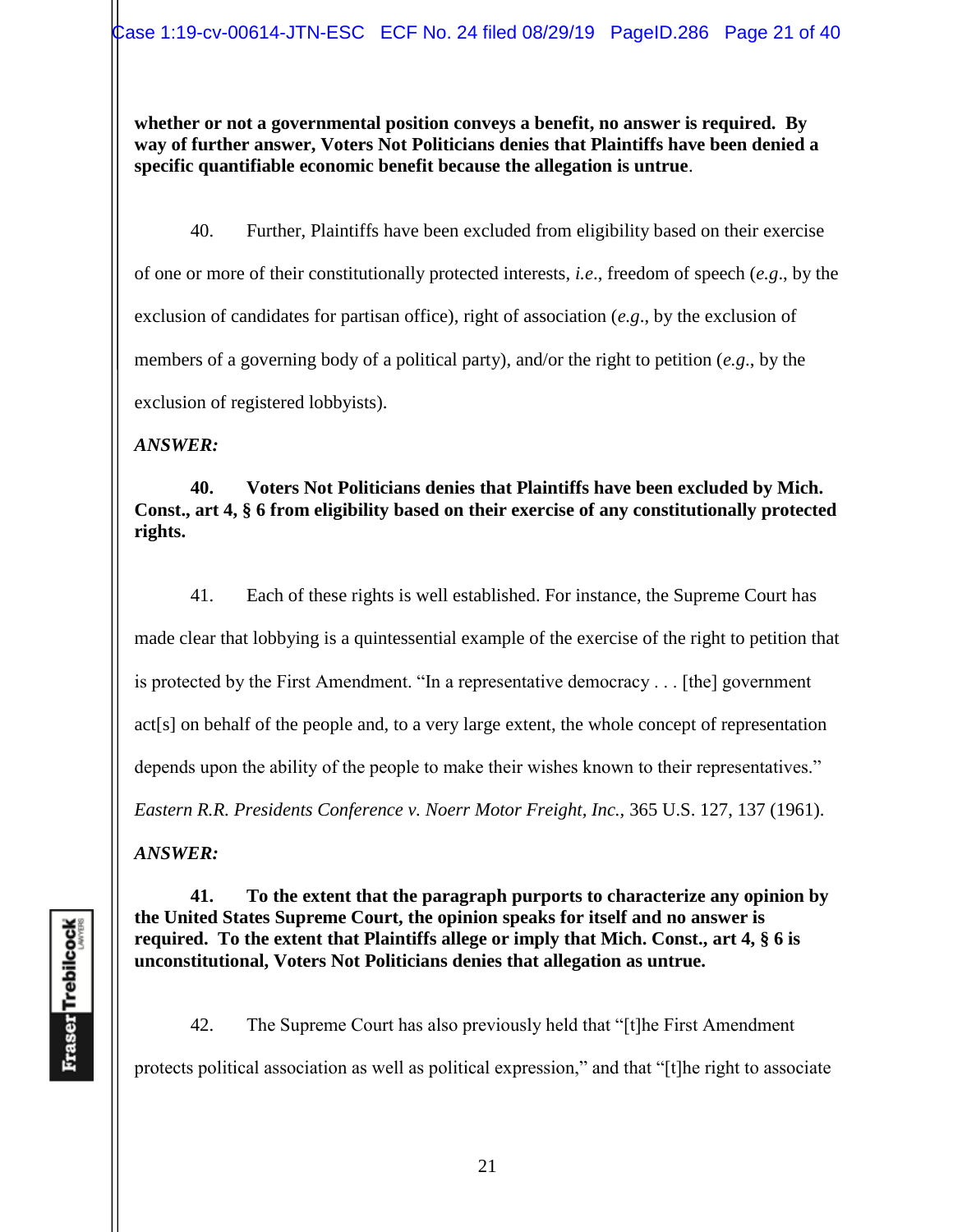**whether or not a governmental position conveys a benefit, no answer is required. By way of further answer, Voters Not Politicians denies that Plaintiffs have been denied a specific quantifiable economic benefit because the allegation is untrue**.

40. Further, Plaintiffs have been excluded from eligibility based on their exercise of one or more of their constitutionally protected interests, *i.e*., freedom of speech (*e.g*., by the exclusion of candidates for partisan office), right of association (*e.g*., by the exclusion of members of a governing body of a political party), and/or the right to petition (*e.g*., by the exclusion of registered lobbyists).

*ANSWER:*

**40. Voters Not Politicians denies that Plaintiffs have been excluded by Mich. Const., art 4, § 6 from eligibility based on their exercise of any constitutionally protected rights.** 

41. Each of these rights is well established. For instance, the Supreme Court has made clear that lobbying is a quintessential example of the exercise of the right to petition that is protected by the First Amendment. "In a representative democracy . . . [the] government act[s] on behalf of the people and, to a very large extent, the whole concept of representation depends upon the ability of the people to make their wishes known to their representatives." *Eastern R.R. Presidents Conference v. Noerr Motor Freight, Inc.,* 365 U.S. 127, 137 (1961).

*ANSWER:*

**41. To the extent that the paragraph purports to characterize any opinion by the United States Supreme Court, the opinion speaks for itself and no answer is required. To the extent that Plaintiffs allege or imply that Mich. Const., art 4, § 6 is unconstitutional, Voters Not Politicians denies that allegation as untrue.** 

42. The Supreme Court has also previously held that "[t]he First Amendment protects political association as well as political expression," and that "[t]he right to associate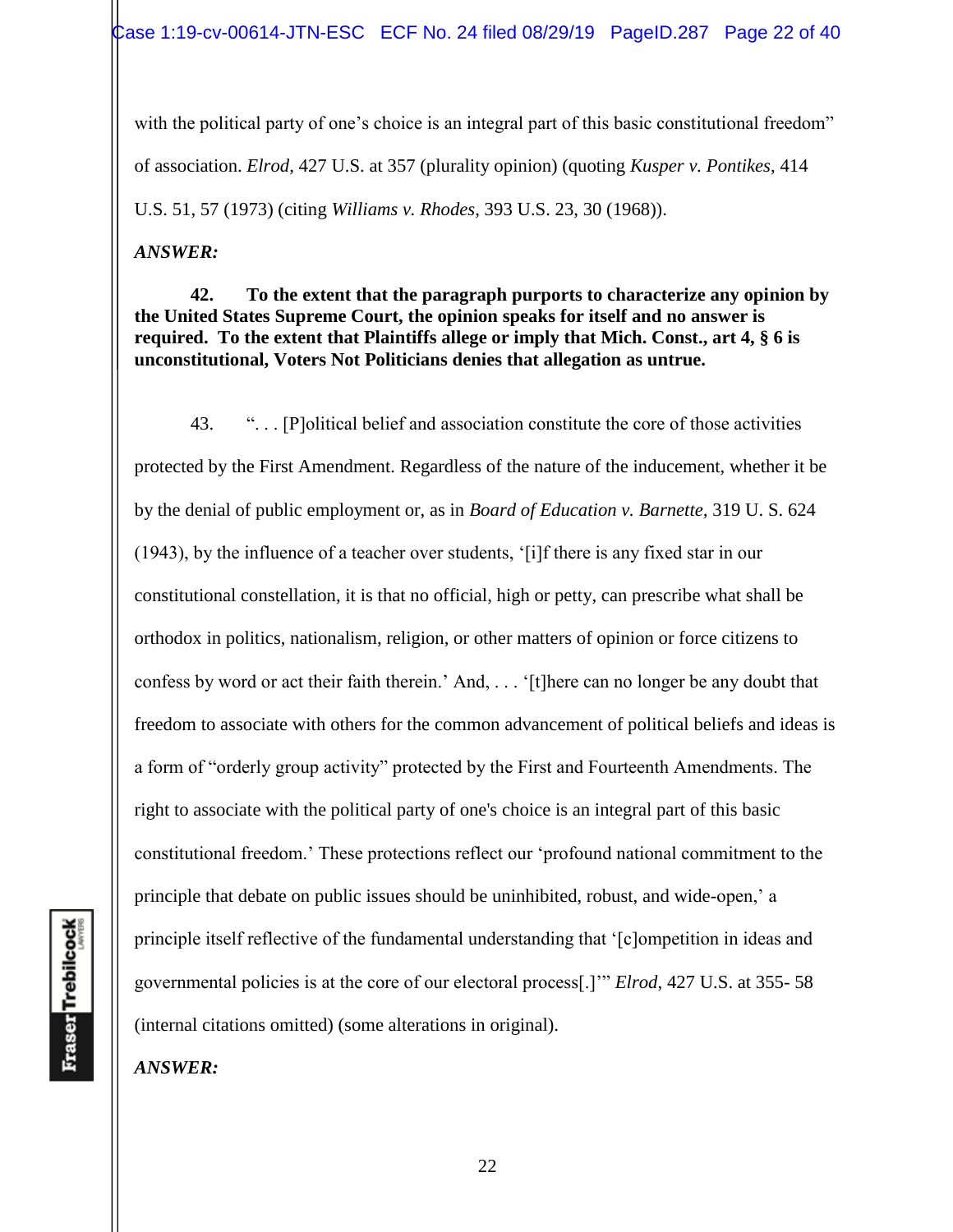with the political party of one's choice is an integral part of this basic constitutional freedom" of association. *Elrod*, 427 U.S. at 357 (plurality opinion) (quoting *Kusper v. Pontikes*, 414 U.S. 51, 57 (1973) (citing *Williams v. Rhodes*, 393 U.S. 23, 30 (1968)).

*ANSWER:*

**42. To the extent that the paragraph purports to characterize any opinion by the United States Supreme Court, the opinion speaks for itself and no answer is required. To the extent that Plaintiffs allege or imply that Mich. Const., art 4, § 6 is unconstitutional, Voters Not Politicians denies that allegation as untrue.** 

43. ". . . [P]olitical belief and association constitute the core of those activities protected by the First Amendment. Regardless of the nature of the inducement, whether it be by the denial of public employment or, as in *Board of Education v. Barnette,* 319 U. S. 624 (1943), by the influence of a teacher over students, '[i]f there is any fixed star in our constitutional constellation, it is that no official, high or petty, can prescribe what shall be orthodox in politics, nationalism, religion, or other matters of opinion or force citizens to confess by word or act their faith therein.' And, . . . '[t]here can no longer be any doubt that freedom to associate with others for the common advancement of political beliefs and ideas is a form of "orderly group activity" protected by the First and Fourteenth Amendments. The right to associate with the political party of one's choice is an integral part of this basic constitutional freedom.' These protections reflect our 'profound national commitment to the principle that debate on public issues should be uninhibited, robust, and wide-open,' a principle itself reflective of the fundamental understanding that '[c]ompetition in ideas and governmental policies is at the core of our electoral process[.]'" *Elrod*, 427 U.S. at 355- 58 (internal citations omitted) (some alterations in original).

Fraser Trebilcock

*ANSWER:*

22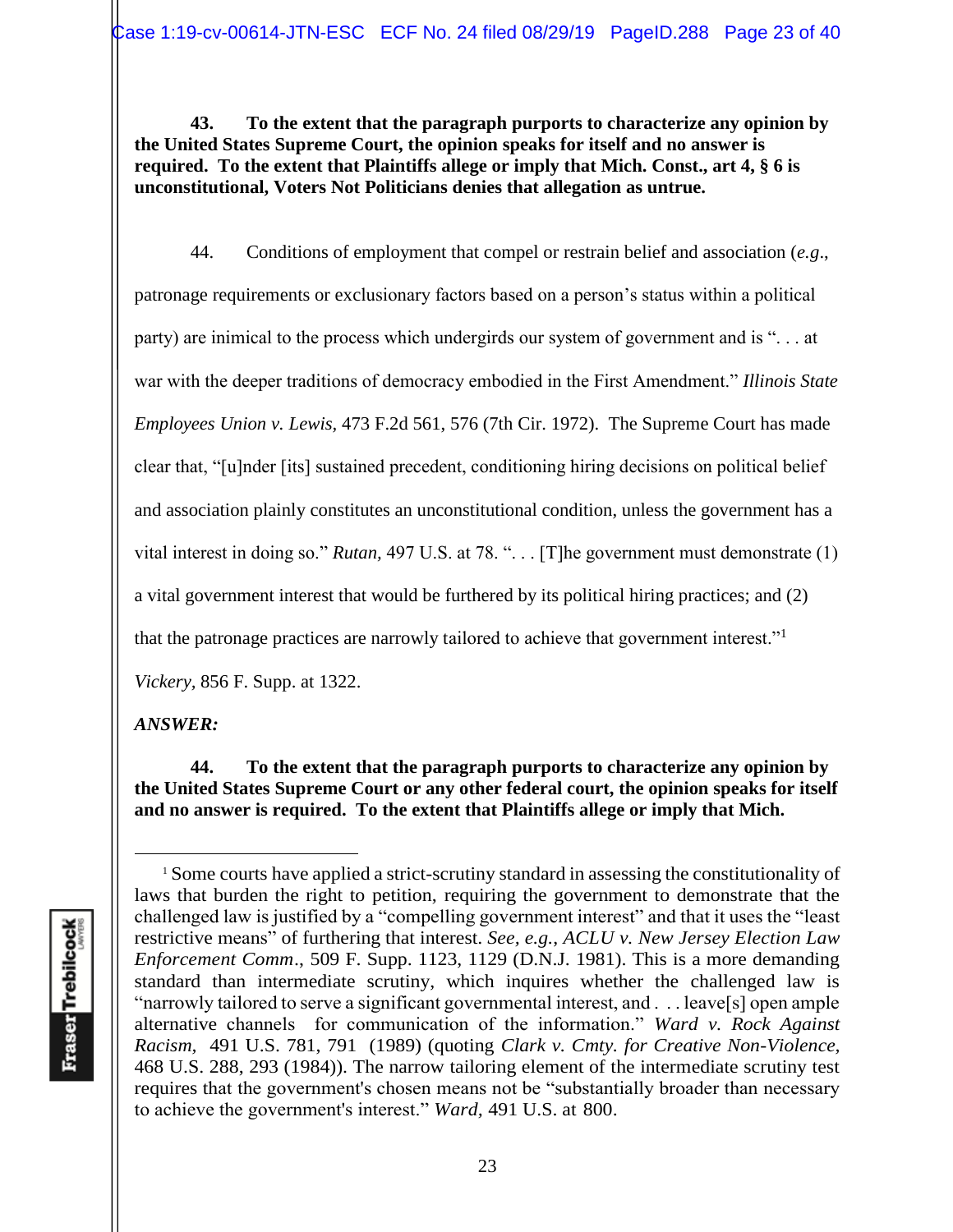**43. To the extent that the paragraph purports to characterize any opinion by the United States Supreme Court, the opinion speaks for itself and no answer is required. To the extent that Plaintiffs allege or imply that Mich. Const., art 4, § 6 is unconstitutional, Voters Not Politicians denies that allegation as untrue.** 

44. Conditions of employment that compel or restrain belief and association (*e.g*., patronage requirements or exclusionary factors based on a person's status within a political party) are inimical to the process which undergirds our system of government and is ". . . at war with the deeper traditions of democracy embodied in the First Amendment." *Illinois State Employees Union v. Lewis,* 473 F.2d 561, 576 (7th Cir. 1972). The Supreme Court has made clear that, "[u]nder [its] sustained precedent, conditioning hiring decisions on political belief and association plainly constitutes an unconstitutional condition, unless the government has a vital interest in doing so." *Rutan,* 497 U.S. at 78. ". . . [T]he government must demonstrate (1) a vital government interest that would be furthered by its political hiring practices; and (2) that the patronage practices are narrowly tailored to achieve that government interest."<sup>1</sup> *Vickery,* 856 F. Supp. at 1322.

### *ANSWER:*

**44. To the extent that the paragraph purports to characterize any opinion by the United States Supreme Court or any other federal court, the opinion speaks for itself and no answer is required. To the extent that Plaintiffs allege or imply that Mich.** 

<sup>1</sup> Some courts have applied a strict-scrutiny standard in assessing the constitutionality of laws that burden the right to petition, requiring the government to demonstrate that the challenged law is justified by a "compelling government interest" and that it uses the "least restrictive means" of furthering that interest. *See, e.g.*, *ACLU v. New Jersey Election Law Enforcement Comm*., 509 F. Supp. 1123, 1129 (D.N.J. 1981). This is a more demanding standard than intermediate scrutiny, which inquires whether the challenged law is "narrowly tailored to serve a significant governmental interest, and . . . leave[s] open ample alternative channels for communication of the information." *Ward v. Rock Against Racism,* 491 U.S. 781, 791 (1989) (quoting *Clark v. Cmty. for Creative Non-Violence,*  468 U.S. 288, 293 (1984)). The narrow tailoring element of the intermediate scrutiny test requires that the government's chosen means not be "substantially broader than necessary to achieve the government's interest." *Ward,* 491 U.S. at 800.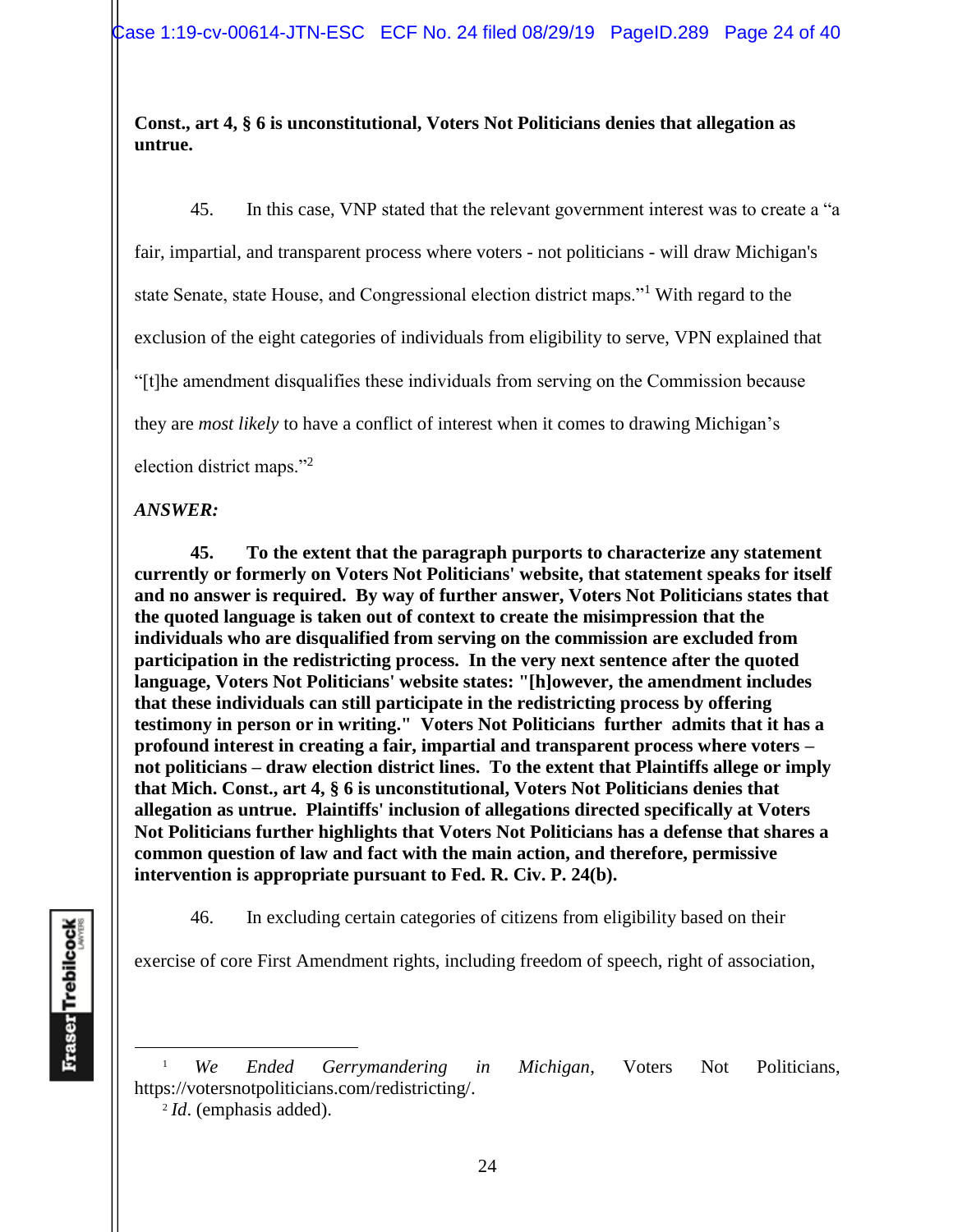### **Const., art 4, § 6 is unconstitutional, Voters Not Politicians denies that allegation as untrue.**

45. In this case, VNP stated that the relevant government interest was to create a "a fair, impartial, and transparent process where voters - not politicians - will draw Michigan's state Senate, state House, and Congressional election district maps."<sup>1</sup> With regard to the exclusion of the eight categories of individuals from eligibility to serve, VPN explained that "[t]he amendment disqualifies these individuals from serving on the Commission because they are *most likely* to have a conflict of interest when it comes to drawing Michigan's election district maps."<sup>2</sup>

## *ANSWER:*

**45. To the extent that the paragraph purports to characterize any statement currently or formerly on Voters Not Politicians' website, that statement speaks for itself and no answer is required. By way of further answer, Voters Not Politicians states that the quoted language is taken out of context to create the misimpression that the individuals who are disqualified from serving on the commission are excluded from participation in the redistricting process. In the very next sentence after the quoted language, Voters Not Politicians' website states: "[h]owever, the amendment includes that these individuals can still participate in the redistricting process by offering testimony in person or in writing." Voters Not Politicians further admits that it has a profound interest in creating a fair, impartial and transparent process where voters – not politicians – draw election district lines. To the extent that Plaintiffs allege or imply that Mich. Const., art 4, § 6 is unconstitutional, Voters Not Politicians denies that allegation as untrue. Plaintiffs' inclusion of allegations directed specifically at Voters Not Politicians further highlights that Voters Not Politicians has a defense that shares a common question of law and fact with the main action, and therefore, permissive intervention is appropriate pursuant to Fed. R. Civ. P. 24(b).** 

46. In excluding certain categories of citizens from eligibility based on their

exercise of core First Amendment rights, including freedom of speech, right of association,

2 *Id*. (emphasis added).

<sup>1</sup> *We Ended Gerrymandering in Michigan*, Voters Not Politicians, https://votersnotpoliticians.com/redistricting/.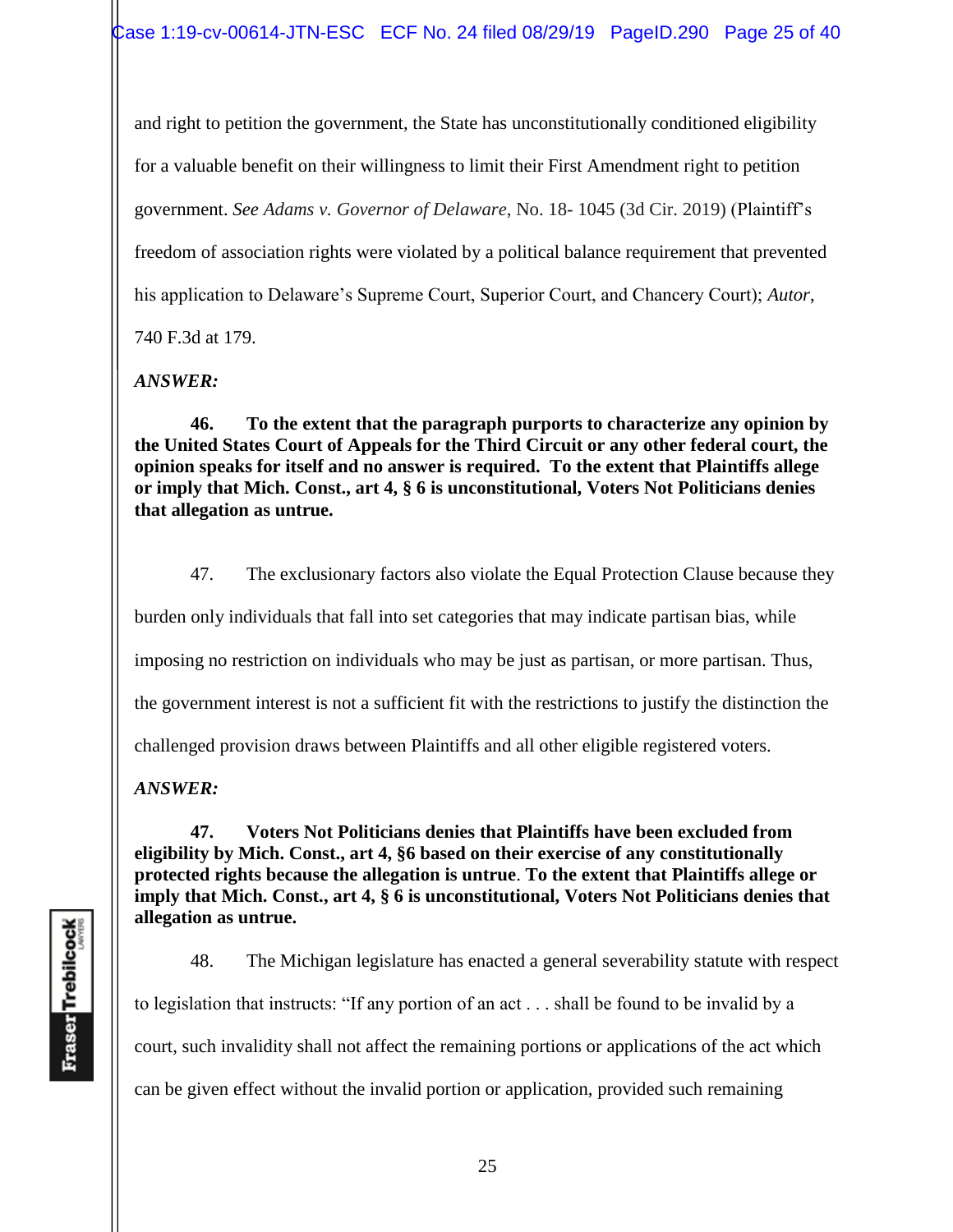and right to petition the government, the State has unconstitutionally conditioned eligibility for a valuable benefit on their willingness to limit their First Amendment right to petition government. *See Adams v. Governor of Delaware*, No. 18- 1045 (3d Cir. 2019) (Plaintiff's freedom of association rights were violated by a political balance requirement that prevented his application to Delaware's Supreme Court, Superior Court, and Chancery Court); *Autor*,

740 F.3d at 179.

*ANSWER:*

**46. To the extent that the paragraph purports to characterize any opinion by the United States Court of Appeals for the Third Circuit or any other federal court, the opinion speaks for itself and no answer is required. To the extent that Plaintiffs allege or imply that Mich. Const., art 4, § 6 is unconstitutional, Voters Not Politicians denies that allegation as untrue.** 

47. The exclusionary factors also violate the Equal Protection Clause because they burden only individuals that fall into set categories that may indicate partisan bias, while imposing no restriction on individuals who may be just as partisan, or more partisan. Thus, the government interest is not a sufficient fit with the restrictions to justify the distinction the challenged provision draws between Plaintiffs and all other eligible registered voters.

*ANSWER:*

**47. Voters Not Politicians denies that Plaintiffs have been excluded from eligibility by Mich. Const., art 4, §6 based on their exercise of any constitutionally protected rights because the allegation is untrue**. **To the extent that Plaintiffs allege or imply that Mich. Const., art 4, § 6 is unconstitutional, Voters Not Politicians denies that allegation as untrue.**

48. The Michigan legislature has enacted a general severability statute with respect to legislation that instructs: "If any portion of an act . . . shall be found to be invalid by a court, such invalidity shall not affect the remaining portions or applications of the act which can be given effect without the invalid portion or application, provided such remaining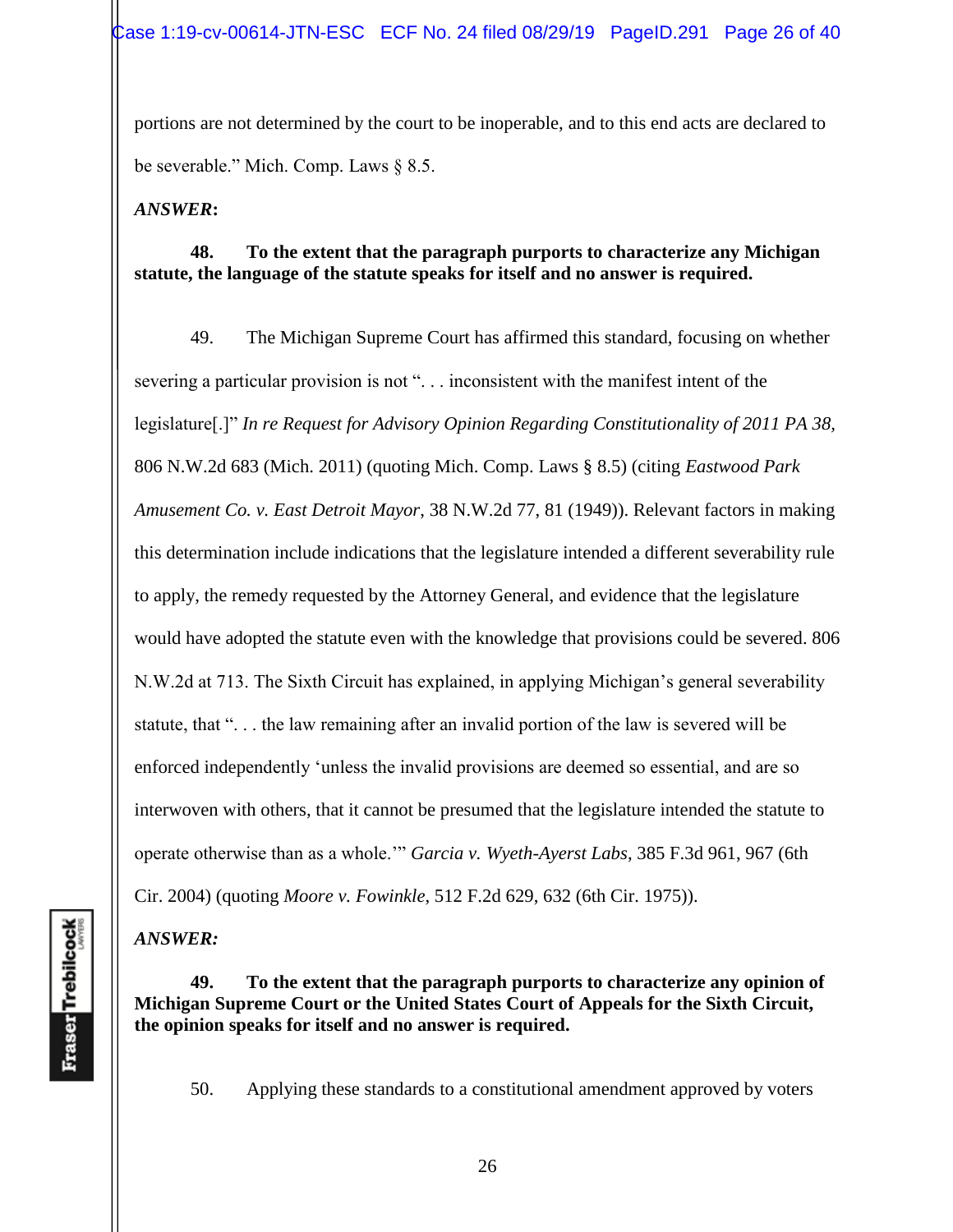portions are not determined by the court to be inoperable, and to this end acts are declared to be severable." Mich. Comp. Laws § 8.5.

*ANSWER***:**

### **48. To the extent that the paragraph purports to characterize any Michigan statute, the language of the statute speaks for itself and no answer is required.**

49. The Michigan Supreme Court has affirmed this standard, focusing on whether severing a particular provision is not ". . . inconsistent with the manifest intent of the legislature[.]" *In re Request for Advisory Opinion Regarding Constitutionality of 2011 PA 38,*  806 N.W.2d 683 (Mich. 2011) (quoting Mich. Comp. Laws § 8.5) (citing *Eastwood Park Amusement Co. v. East Detroit Mayor*, 38 N.W.2d 77, 81 (1949)). Relevant factors in making this determination include indications that the legislature intended a different severability rule to apply, the remedy requested by the Attorney General, and evidence that the legislature would have adopted the statute even with the knowledge that provisions could be severed. 806 N.W.2d at 713. The Sixth Circuit has explained, in applying Michigan's general severability statute, that "... the law remaining after an invalid portion of the law is severed will be enforced independently 'unless the invalid provisions are deemed so essential, and are so interwoven with others, that it cannot be presumed that the legislature intended the statute to operate otherwise than as a whole.'" *Garcia v. Wyeth-Ayerst Labs*, 385 F.3d 961, 967 (6th Cir. 2004) (quoting *Moore v. Fowinkle*, 512 F.2d 629, 632 (6th Cir. 1975)).

*ANSWER:*

### **49. To the extent that the paragraph purports to characterize any opinion of Michigan Supreme Court or the United States Court of Appeals for the Sixth Circuit, the opinion speaks for itself and no answer is required.**

50. Applying these standards to a constitutional amendment approved by voters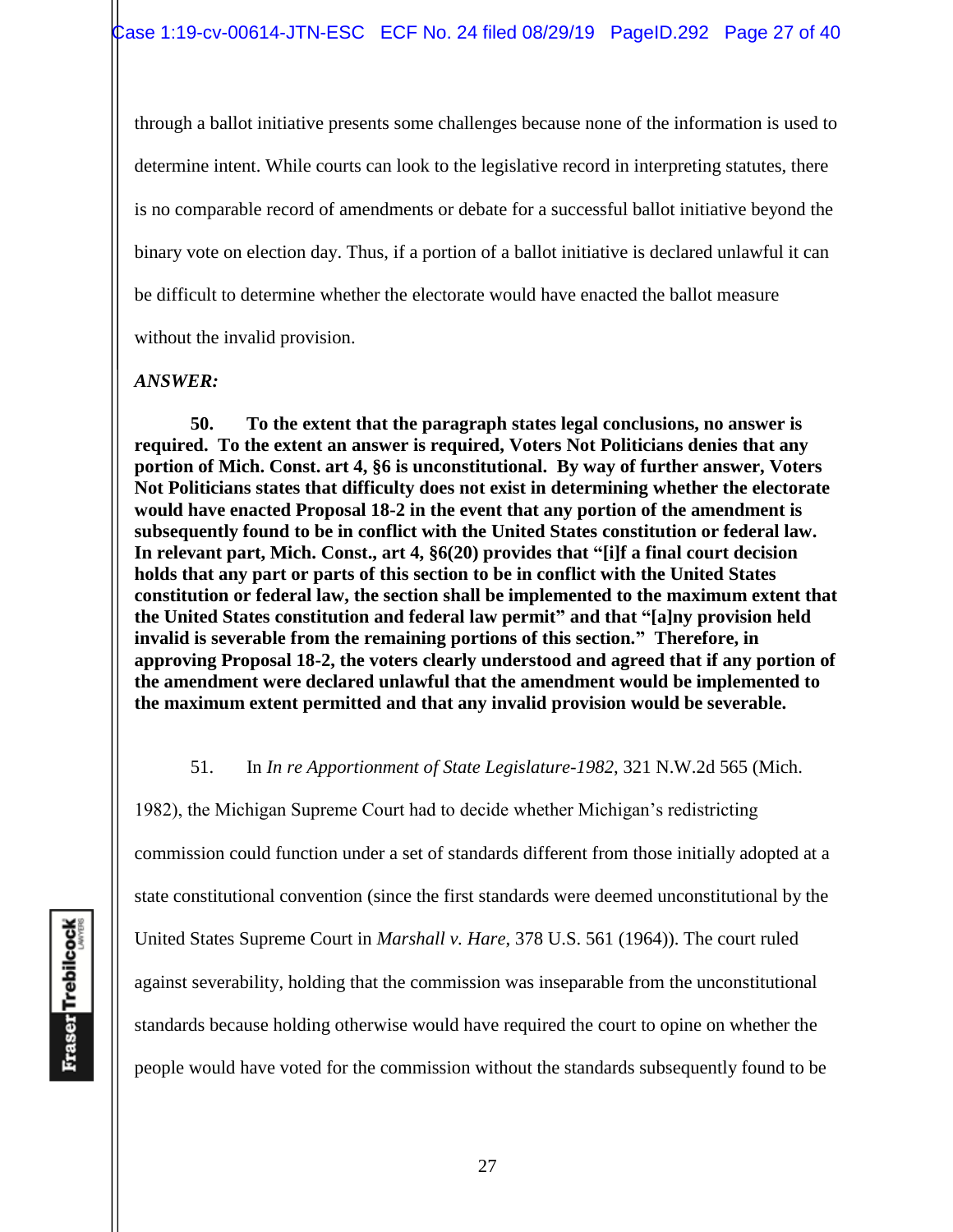through a ballot initiative presents some challenges because none of the information is used to determine intent. While courts can look to the legislative record in interpreting statutes, there is no comparable record of amendments or debate for a successful ballot initiative beyond the binary vote on election day. Thus, if a portion of a ballot initiative is declared unlawful it can be difficult to determine whether the electorate would have enacted the ballot measure without the invalid provision.

*ANSWER:*

**50. To the extent that the paragraph states legal conclusions, no answer is required. To the extent an answer is required, Voters Not Politicians denies that any portion of Mich. Const. art 4, §6 is unconstitutional. By way of further answer, Voters Not Politicians states that difficulty does not exist in determining whether the electorate would have enacted Proposal 18-2 in the event that any portion of the amendment is subsequently found to be in conflict with the United States constitution or federal law. In relevant part, Mich. Const., art 4, §6(20) provides that "[i]f a final court decision holds that any part or parts of this section to be in conflict with the United States constitution or federal law, the section shall be implemented to the maximum extent that the United States constitution and federal law permit" and that "[a]ny provision held invalid is severable from the remaining portions of this section." Therefore, in approving Proposal 18-2, the voters clearly understood and agreed that if any portion of the amendment were declared unlawful that the amendment would be implemented to the maximum extent permitted and that any invalid provision would be severable.** 

### 51. In *In re Apportionment of State Legislature-1982*, 321 N.W.2d 565 (Mich.

1982), the Michigan Supreme Court had to decide whether Michigan's redistricting commission could function under a set of standards different from those initially adopted at a state constitutional convention (since the first standards were deemed unconstitutional by the United States Supreme Court in *Marshall v. Hare*, 378 U.S. 561 (1964)). The court ruled against severability, holding that the commission was inseparable from the unconstitutional standards because holding otherwise would have required the court to opine on whether the people would have voted for the commission without the standards subsequently found to be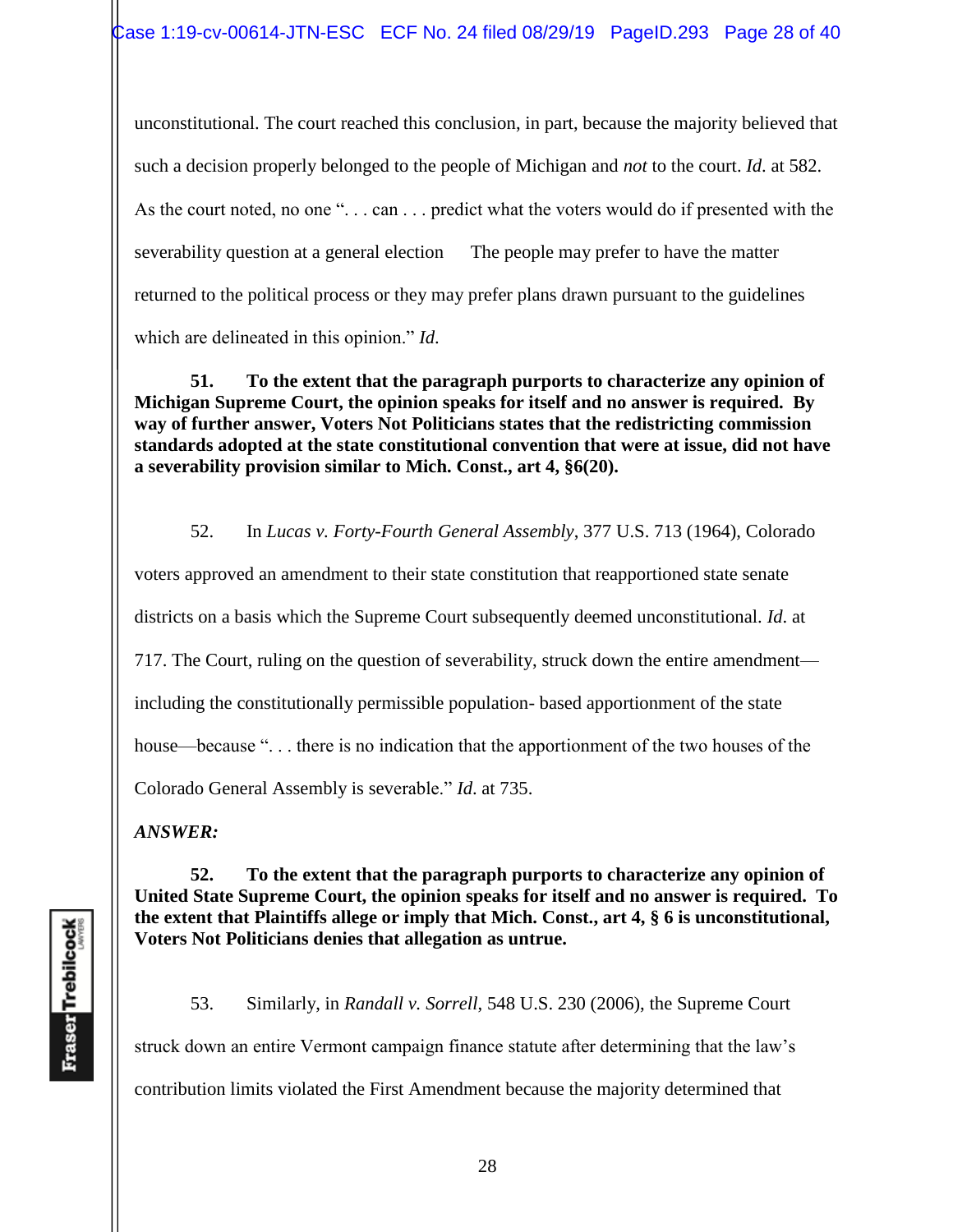unconstitutional. The court reached this conclusion, in part, because the majority believed that such a decision properly belonged to the people of Michigan and *not* to the court. *Id*. at 582. As the court noted, no one "... can ... predict what the voters would do if presented with the severability question at a general election The people may prefer to have the matter returned to the political process or they may prefer plans drawn pursuant to the guidelines which are delineated in this opinion." *Id*.

**51. To the extent that the paragraph purports to characterize any opinion of Michigan Supreme Court, the opinion speaks for itself and no answer is required. By way of further answer, Voters Not Politicians states that the redistricting commission standards adopted at the state constitutional convention that were at issue, did not have a severability provision similar to Mich. Const., art 4, §6(20).** 

52. In *Lucas v. Forty-Fourth General Assembly*, 377 U.S. 713 (1964), Colorado voters approved an amendment to their state constitution that reapportioned state senate districts on a basis which the Supreme Court subsequently deemed unconstitutional. *Id*. at 717. The Court, ruling on the question of severability, struck down the entire amendment including the constitutionally permissible population- based apportionment of the state house—because "... there is no indication that the apportionment of the two houses of the Colorado General Assembly is severable." *Id*. at 735.

*ANSWER:* 

**52. To the extent that the paragraph purports to characterize any opinion of United State Supreme Court, the opinion speaks for itself and no answer is required. To the extent that Plaintiffs allege or imply that Mich. Const., art 4, § 6 is unconstitutional, Voters Not Politicians denies that allegation as untrue.** 

53. Similarly, in *Randall v. Sorrell*, 548 U.S. 230 (2006), the Supreme Court struck down an entire Vermont campaign finance statute after determining that the law's contribution limits violated the First Amendment because the majority determined that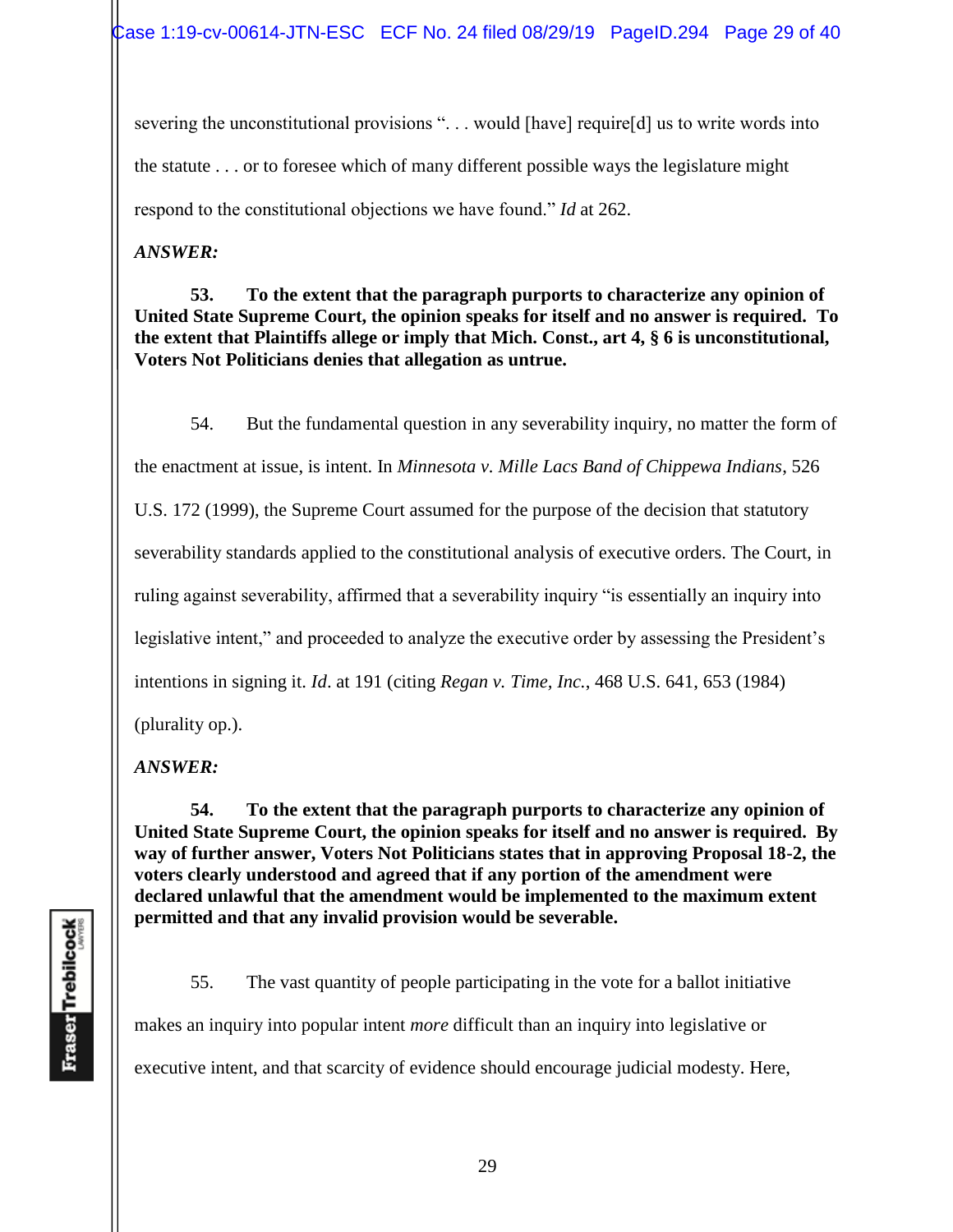severing the unconstitutional provisions "... would [have] require[d] us to write words into the statute . . . or to foresee which of many different possible ways the legislature might respond to the constitutional objections we have found." *Id* at 262.

*ANSWER:*

**53. To the extent that the paragraph purports to characterize any opinion of United State Supreme Court, the opinion speaks for itself and no answer is required. To the extent that Plaintiffs allege or imply that Mich. Const., art 4, § 6 is unconstitutional, Voters Not Politicians denies that allegation as untrue.** 

54. But the fundamental question in any severability inquiry, no matter the form of the enactment at issue, is intent. In *Minnesota v. Mille Lacs Band of Chippewa Indians*, 526 U.S. 172 (1999), the Supreme Court assumed for the purpose of the decision that statutory severability standards applied to the constitutional analysis of executive orders. The Court, in ruling against severability, affirmed that a severability inquiry "is essentially an inquiry into legislative intent," and proceeded to analyze the executive order by assessing the President's intentions in signing it. *Id*. at 191 (citing *Regan v. Time, Inc.*, 468 U.S. 641, 653 (1984) (plurality op.).

*ANSWER:*

**54. To the extent that the paragraph purports to characterize any opinion of United State Supreme Court, the opinion speaks for itself and no answer is required. By way of further answer, Voters Not Politicians states that in approving Proposal 18-2, the voters clearly understood and agreed that if any portion of the amendment were declared unlawful that the amendment would be implemented to the maximum extent permitted and that any invalid provision would be severable.** 

55. The vast quantity of people participating in the vote for a ballot initiative

makes an inquiry into popular intent *more* difficult than an inquiry into legislative or

executive intent, and that scarcity of evidence should encourage judicial modesty. Here,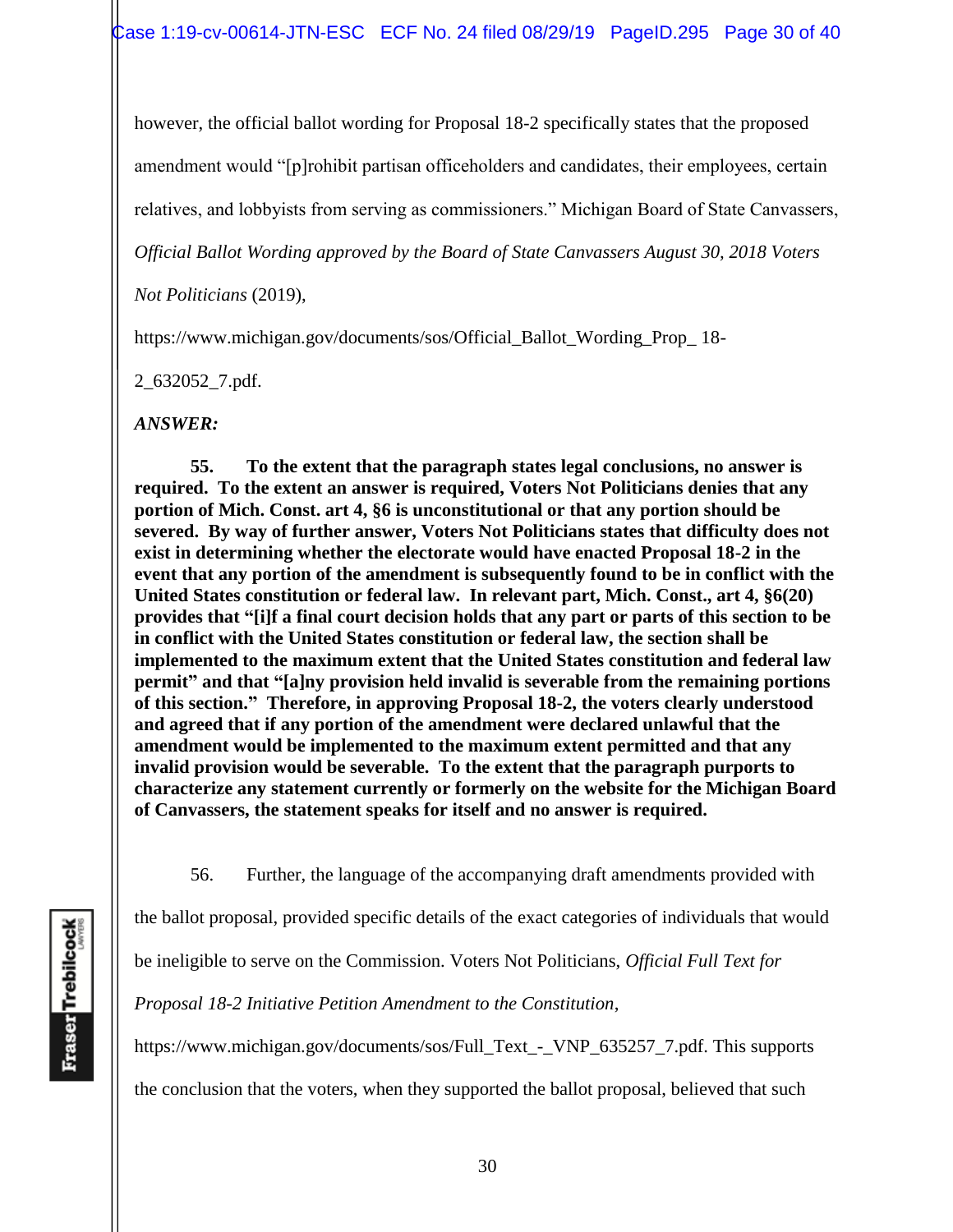however, the official ballot wording for Proposal 18-2 specifically states that the proposed amendment would "[p]rohibit partisan officeholders and candidates, their employees, certain relatives, and lobbyists from serving as commissioners." Michigan Board of State Canvassers,

*Official Ballot Wording approved by the Board of State Canvassers August 30, 2018 Voters* 

*Not Politicians* (2019),

https://www.michigan.gov/documents/sos/Official\_Ballot\_Wording\_Prop\_ 18-

2\_632052\_7.pdf.

*ANSWER:*

**55. To the extent that the paragraph states legal conclusions, no answer is required. To the extent an answer is required, Voters Not Politicians denies that any portion of Mich. Const. art 4, §6 is unconstitutional or that any portion should be severed. By way of further answer, Voters Not Politicians states that difficulty does not exist in determining whether the electorate would have enacted Proposal 18-2 in the event that any portion of the amendment is subsequently found to be in conflict with the United States constitution or federal law. In relevant part, Mich. Const., art 4, §6(20) provides that "[i]f a final court decision holds that any part or parts of this section to be in conflict with the United States constitution or federal law, the section shall be implemented to the maximum extent that the United States constitution and federal law permit" and that "[a]ny provision held invalid is severable from the remaining portions of this section." Therefore, in approving Proposal 18-2, the voters clearly understood and agreed that if any portion of the amendment were declared unlawful that the amendment would be implemented to the maximum extent permitted and that any invalid provision would be severable. To the extent that the paragraph purports to characterize any statement currently or formerly on the website for the Michigan Board of Canvassers, the statement speaks for itself and no answer is required.**

56. Further, the language of the accompanying draft amendments provided with

the ballot proposal, provided specific details of the exact categories of individuals that would

be ineligible to serve on the Commission. Voters Not Politicians, *Official Full Text for* 

*Proposal 18-2 Initiative Petition Amendment to the Constitution*,

https://www.michigan.gov/documents/sos/Full\_Text\_-\_VNP\_635257\_7.pdf. This supports

the conclusion that the voters, when they supported the ballot proposal, believed that such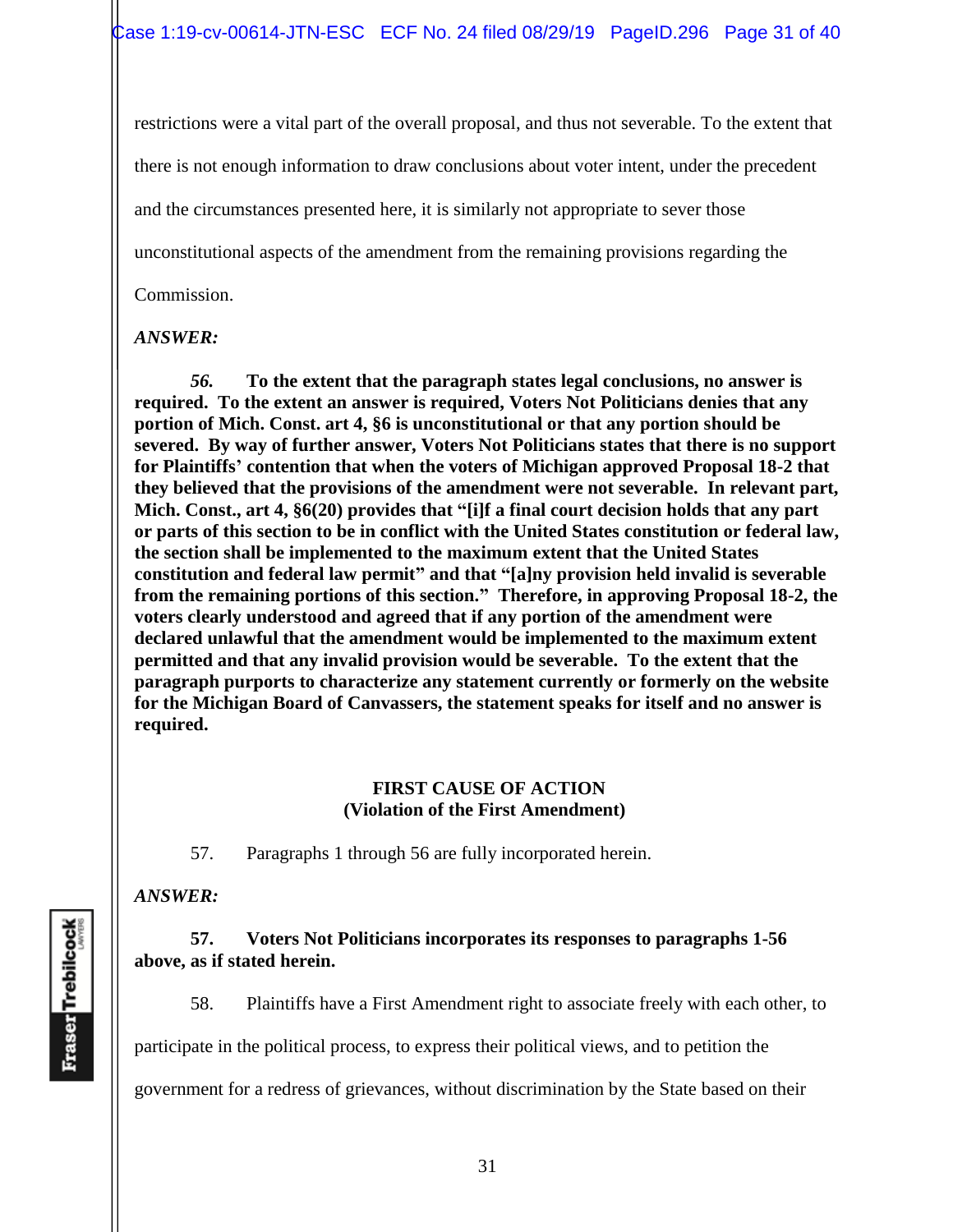restrictions were a vital part of the overall proposal, and thus not severable. To the extent that there is not enough information to draw conclusions about voter intent, under the precedent and the circumstances presented here, it is similarly not appropriate to sever those unconstitutional aspects of the amendment from the remaining provisions regarding the Commission.

#### *ANSWER:*

*56.* **To the extent that the paragraph states legal conclusions, no answer is required. To the extent an answer is required, Voters Not Politicians denies that any portion of Mich. Const. art 4, §6 is unconstitutional or that any portion should be severed. By way of further answer, Voters Not Politicians states that there is no support for Plaintiffs' contention that when the voters of Michigan approved Proposal 18-2 that they believed that the provisions of the amendment were not severable. In relevant part, Mich. Const., art 4, §6(20) provides that "[i]f a final court decision holds that any part or parts of this section to be in conflict with the United States constitution or federal law, the section shall be implemented to the maximum extent that the United States constitution and federal law permit" and that "[a]ny provision held invalid is severable from the remaining portions of this section." Therefore, in approving Proposal 18-2, the voters clearly understood and agreed that if any portion of the amendment were declared unlawful that the amendment would be implemented to the maximum extent permitted and that any invalid provision would be severable. To the extent that the paragraph purports to characterize any statement currently or formerly on the website for the Michigan Board of Canvassers, the statement speaks for itself and no answer is required.**

#### **FIRST CAUSE OF ACTION (Violation of the First Amendment)**

57. Paragraphs 1 through 56 are fully incorporated herein.

### *ANSWER:*

#### **57. Voters Not Politicians incorporates its responses to paragraphs 1-56 above, as if stated herein.**

58. Plaintiffs have a First Amendment right to associate freely with each other, to

participate in the political process, to express their political views, and to petition the

government for a redress of grievances, without discrimination by the State based on their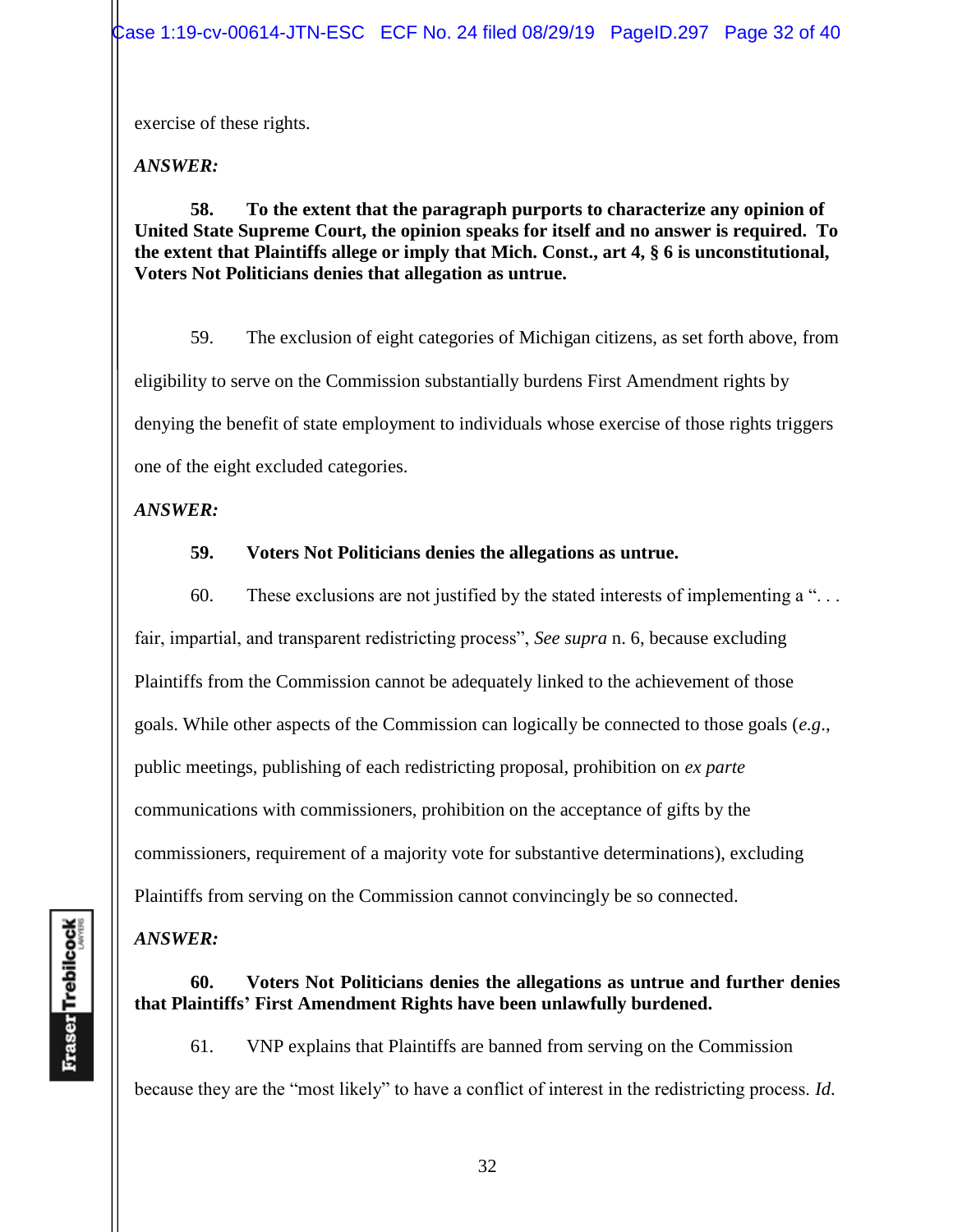exercise of these rights.

*ANSWER:*

**58. To the extent that the paragraph purports to characterize any opinion of United State Supreme Court, the opinion speaks for itself and no answer is required. To the extent that Plaintiffs allege or imply that Mich. Const., art 4, § 6 is unconstitutional, Voters Not Politicians denies that allegation as untrue.** 

59. The exclusion of eight categories of Michigan citizens, as set forth above, from eligibility to serve on the Commission substantially burdens First Amendment rights by denying the benefit of state employment to individuals whose exercise of those rights triggers one of the eight excluded categories.

*ANSWER:*

## **59. Voters Not Politicians denies the allegations as untrue.**

60. These exclusions are not justified by the stated interests of implementing a  $\ldots$ . fair, impartial, and transparent redistricting process", *See supra* n. 6, because excluding Plaintiffs from the Commission cannot be adequately linked to the achievement of those goals. While other aspects of the Commission can logically be connected to those goals (*e.g*., public meetings, publishing of each redistricting proposal, prohibition on *ex parte*  communications with commissioners, prohibition on the acceptance of gifts by the commissioners, requirement of a majority vote for substantive determinations), excluding Plaintiffs from serving on the Commission cannot convincingly be so connected.

# *ANSWER:*

## **60. Voters Not Politicians denies the allegations as untrue and further denies that Plaintiffs' First Amendment Rights have been unlawfully burdened.**

61. VNP explains that Plaintiffs are banned from serving on the Commission because they are the "most likely" to have a conflict of interest in the redistricting process. *Id*.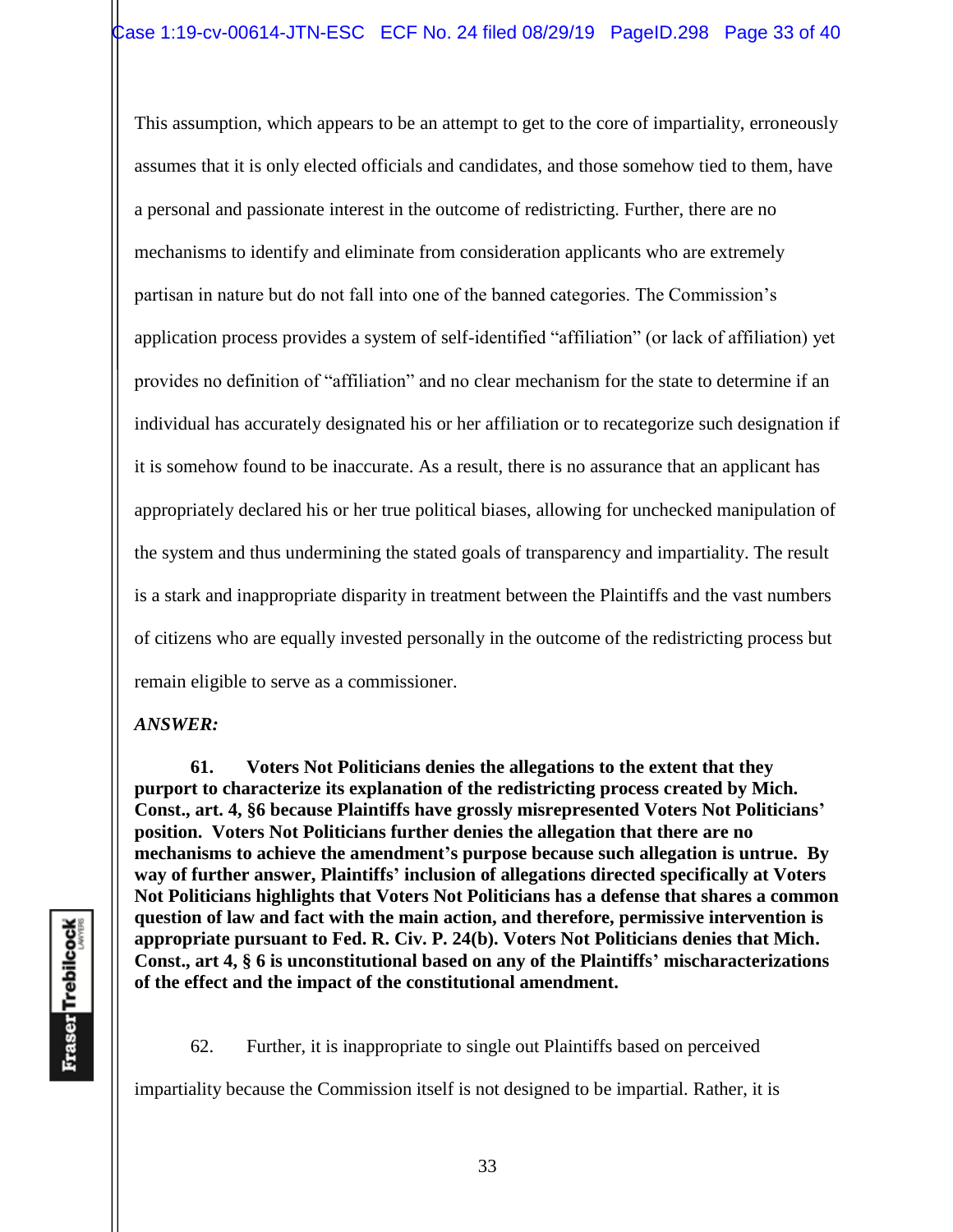This assumption, which appears to be an attempt to get to the core of impartiality, erroneously assumes that it is only elected officials and candidates, and those somehow tied to them, have a personal and passionate interest in the outcome of redistricting. Further, there are no mechanisms to identify and eliminate from consideration applicants who are extremely partisan in nature but do not fall into one of the banned categories. The Commission's application process provides a system of self-identified "affiliation" (or lack of affiliation) yet provides no definition of "affiliation" and no clear mechanism for the state to determine if an individual has accurately designated his or her affiliation or to recategorize such designation if it is somehow found to be inaccurate. As a result, there is no assurance that an applicant has appropriately declared his or her true political biases, allowing for unchecked manipulation of the system and thus undermining the stated goals of transparency and impartiality. The result is a stark and inappropriate disparity in treatment between the Plaintiffs and the vast numbers of citizens who are equally invested personally in the outcome of the redistricting process but remain eligible to serve as a commissioner.

*ANSWER:*

**61. Voters Not Politicians denies the allegations to the extent that they purport to characterize its explanation of the redistricting process created by Mich. Const., art. 4, §6 because Plaintiffs have grossly misrepresented Voters Not Politicians' position. Voters Not Politicians further denies the allegation that there are no mechanisms to achieve the amendment's purpose because such allegation is untrue. By way of further answer, Plaintiffs' inclusion of allegations directed specifically at Voters Not Politicians highlights that Voters Not Politicians has a defense that shares a common question of law and fact with the main action, and therefore, permissive intervention is appropriate pursuant to Fed. R. Civ. P. 24(b). Voters Not Politicians denies that Mich. Const., art 4, § 6 is unconstitutional based on any of the Plaintiffs' mischaracterizations of the effect and the impact of the constitutional amendment.**

62. Further, it is inappropriate to single out Plaintiffs based on perceived

impartiality because the Commission itself is not designed to be impartial. Rather, it is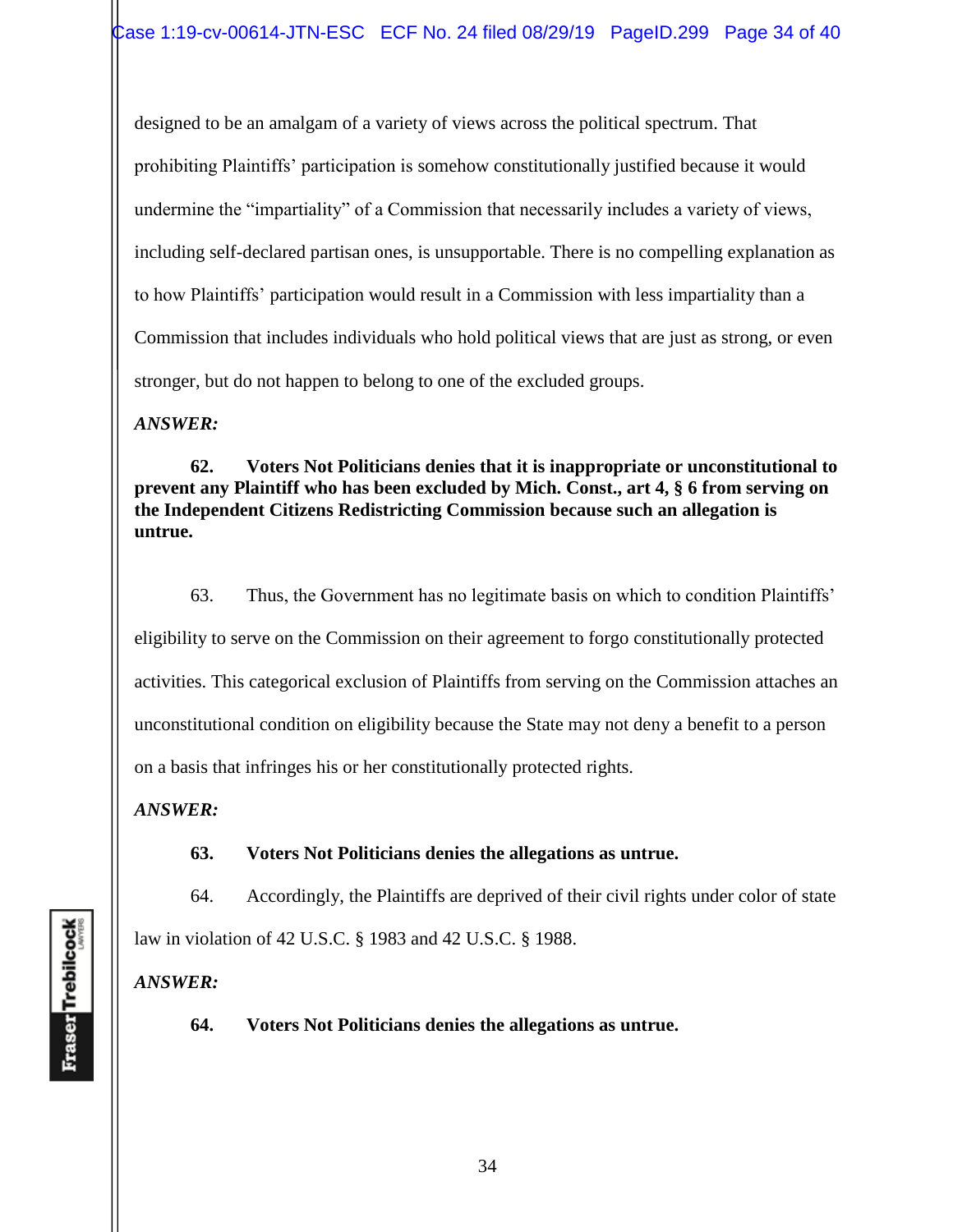designed to be an amalgam of a variety of views across the political spectrum. That prohibiting Plaintiffs' participation is somehow constitutionally justified because it would undermine the "impartiality" of a Commission that necessarily includes a variety of views, including self-declared partisan ones, is unsupportable. There is no compelling explanation as to how Plaintiffs' participation would result in a Commission with less impartiality than a Commission that includes individuals who hold political views that are just as strong, or even stronger, but do not happen to belong to one of the excluded groups.

*ANSWER:*

**62. Voters Not Politicians denies that it is inappropriate or unconstitutional to prevent any Plaintiff who has been excluded by Mich. Const., art 4, § 6 from serving on the Independent Citizens Redistricting Commission because such an allegation is untrue.** 

63. Thus, the Government has no legitimate basis on which to condition Plaintiffs' eligibility to serve on the Commission on their agreement to forgo constitutionally protected activities. This categorical exclusion of Plaintiffs from serving on the Commission attaches an unconstitutional condition on eligibility because the State may not deny a benefit to a person on a basis that infringes his or her constitutionally protected rights.

*ANSWER:*

**63. Voters Not Politicians denies the allegations as untrue.** 

64. Accordingly, the Plaintiffs are deprived of their civil rights under color of state

law in violation of 42 U.S.C. § 1983 and 42 U.S.C. § 1988.

*ANSWER:*

**64. Voters Not Politicians denies the allegations as untrue.**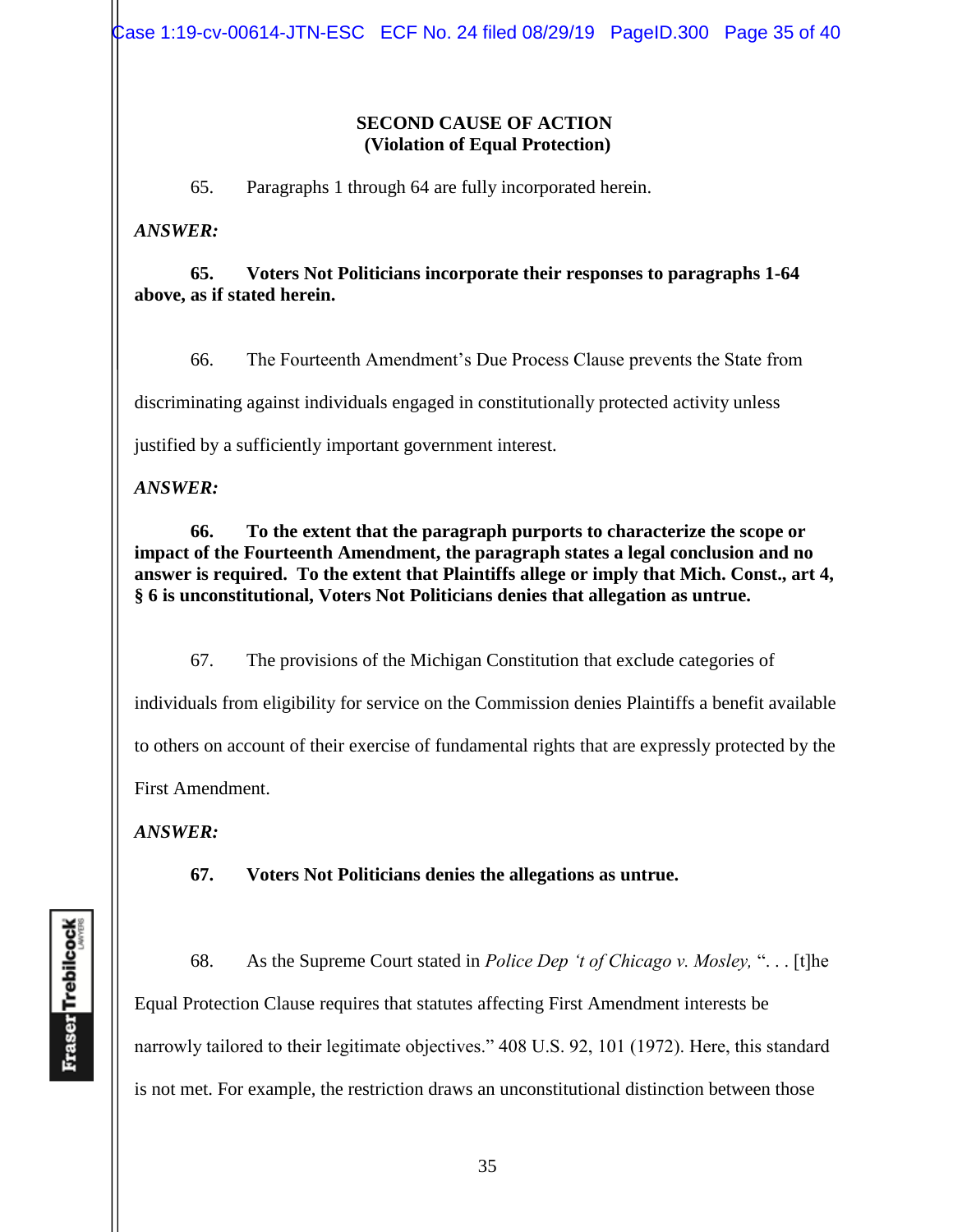Case 1:19-cv-00614-JTN-ESC ECF No. 24 filed 08/29/19 PageID.300 Page 35 of 40

#### **SECOND CAUSE OF ACTION (Violation of Equal Protection)**

65. Paragraphs 1 through 64 are fully incorporated herein.

*ANSWER:*

#### **65. Voters Not Politicians incorporate their responses to paragraphs 1-64 above, as if stated herein.**

66. The Fourteenth Amendment's Due Process Clause prevents the State from

discriminating against individuals engaged in constitutionally protected activity unless

justified by a sufficiently important government interest.

*ANSWER:*

**66. To the extent that the paragraph purports to characterize the scope or impact of the Fourteenth Amendment, the paragraph states a legal conclusion and no answer is required. To the extent that Plaintiffs allege or imply that Mich. Const., art 4, § 6 is unconstitutional, Voters Not Politicians denies that allegation as untrue.** 

67. The provisions of the Michigan Constitution that exclude categories of individuals from eligibility for service on the Commission denies Plaintiffs a benefit available to others on account of their exercise of fundamental rights that are expressly protected by the First Amendment.

*ANSWER:*

**67. Voters Not Politicians denies the allegations as untrue.**

68. As the Supreme Court stated in *Police Dep 't of Chicago v. Mosley,* ". . . [t]he Equal Protection Clause requires that statutes affecting First Amendment interests be narrowly tailored to their legitimate objectives." 408 U.S. 92, 101 (1972). Here, this standard is not met. For example, the restriction draws an unconstitutional distinction between those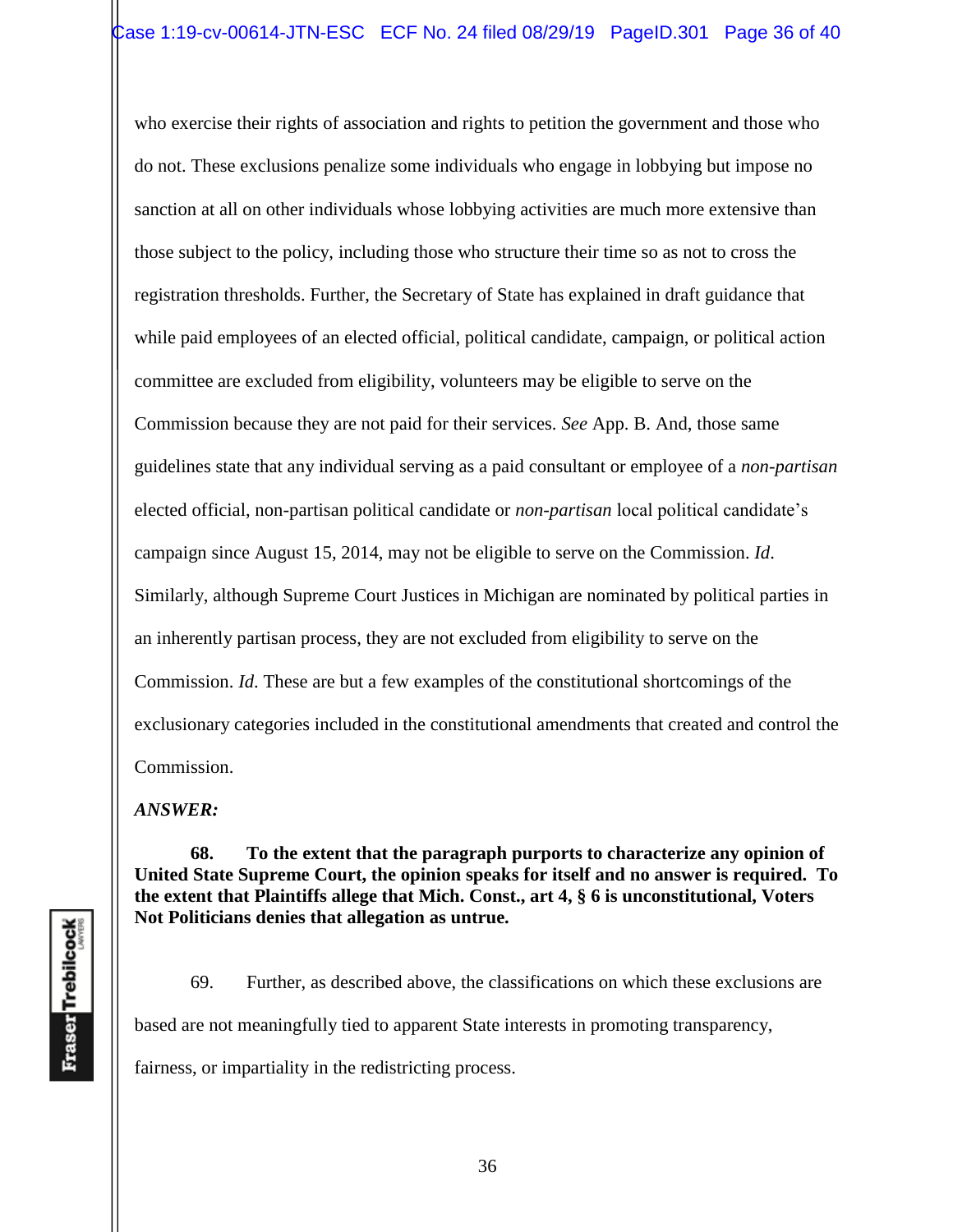who exercise their rights of association and rights to petition the government and those who do not. These exclusions penalize some individuals who engage in lobbying but impose no sanction at all on other individuals whose lobbying activities are much more extensive than those subject to the policy, including those who structure their time so as not to cross the registration thresholds. Further, the Secretary of State has explained in draft guidance that while paid employees of an elected official, political candidate, campaign, or political action committee are excluded from eligibility, volunteers may be eligible to serve on the Commission because they are not paid for their services. *See* App. B. And, those same guidelines state that any individual serving as a paid consultant or employee of a *non-partisan*  elected official, non-partisan political candidate or *non-partisan* local political candidate's campaign since August 15, 2014, may not be eligible to serve on the Commission. *Id*. Similarly, although Supreme Court Justices in Michigan are nominated by political parties in an inherently partisan process, they are not excluded from eligibility to serve on the Commission. *Id*. These are but a few examples of the constitutional shortcomings of the exclusionary categories included in the constitutional amendments that created and control the Commission.

*ANSWER:*

**68. To the extent that the paragraph purports to characterize any opinion of United State Supreme Court, the opinion speaks for itself and no answer is required. To the extent that Plaintiffs allege that Mich. Const., art 4, § 6 is unconstitutional, Voters Not Politicians denies that allegation as untrue.** 

69. Further, as described above, the classifications on which these exclusions are based are not meaningfully tied to apparent State interests in promoting transparency, fairness, or impartiality in the redistricting process.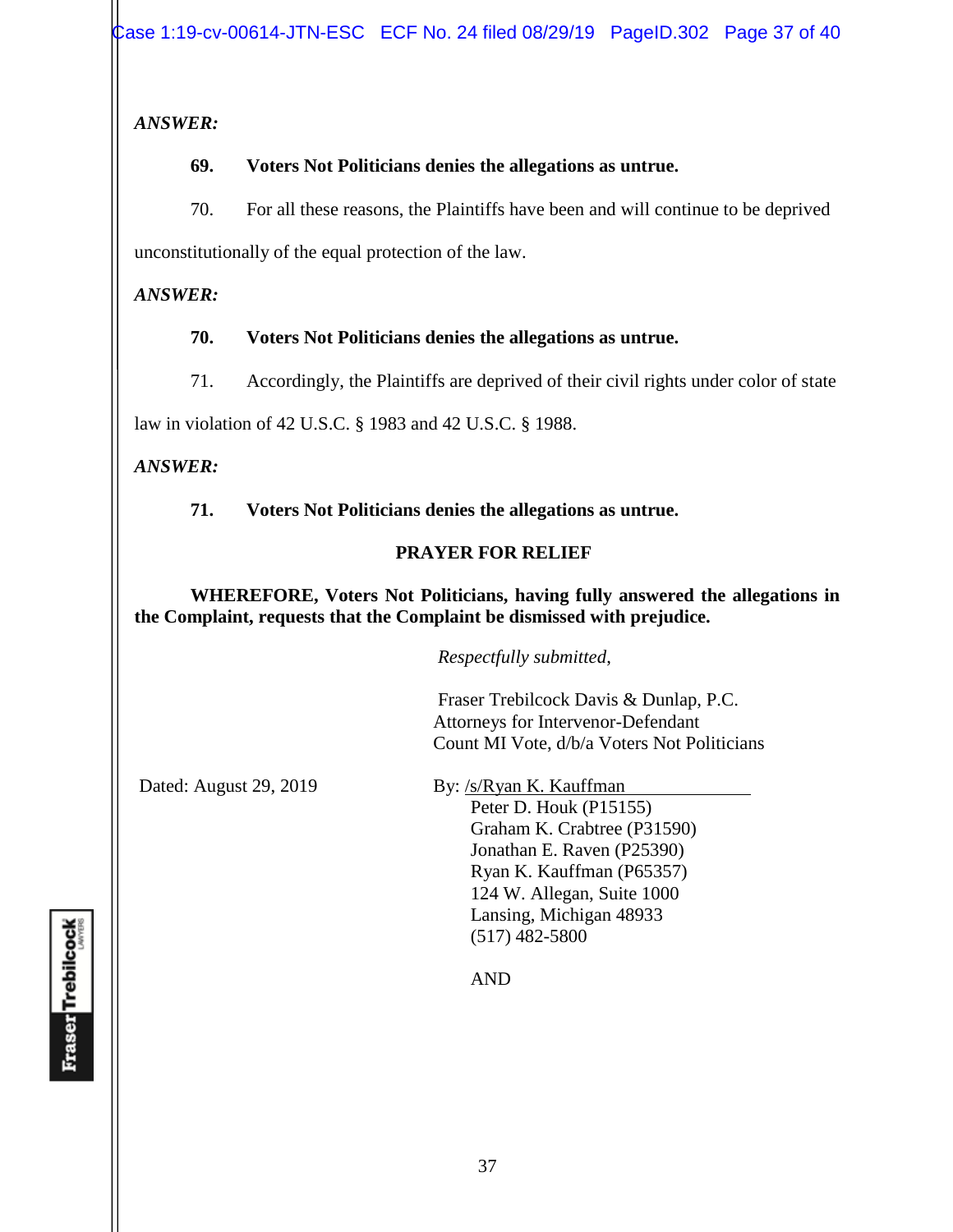# *ANSWER:*

# **69. Voters Not Politicians denies the allegations as untrue.**

70. For all these reasons, the Plaintiffs have been and will continue to be deprived unconstitutionally of the equal protection of the law.

# *ANSWER:*

# **70. Voters Not Politicians denies the allegations as untrue.**

71. Accordingly, the Plaintiffs are deprived of their civil rights under color of state

law in violation of 42 U.S.C. § 1983 and 42 U.S.C. § 1988.

# *ANSWER:*

**71. Voters Not Politicians denies the allegations as untrue.** 

# **PRAYER FOR RELIEF**

## **WHEREFORE, Voters Not Politicians, having fully answered the allegations in the Complaint, requests that the Complaint be dismissed with prejudice.**

*Respectfully submitted*,

 Fraser Trebilcock Davis & Dunlap, P.C. Attorneys for Intervenor-Defendant Count MI Vote, d/b/a Voters Not Politicians

Dated: August 29, 2019 By: /s/Ryan K. Kauffman

Peter D. Houk (P15155) Graham K. Crabtree (P31590) Jonathan E. Raven (P25390) Ryan K. Kauffman (P65357) 124 W. Allegan, Suite 1000 Lansing, Michigan 48933 (517) 482-5800

AND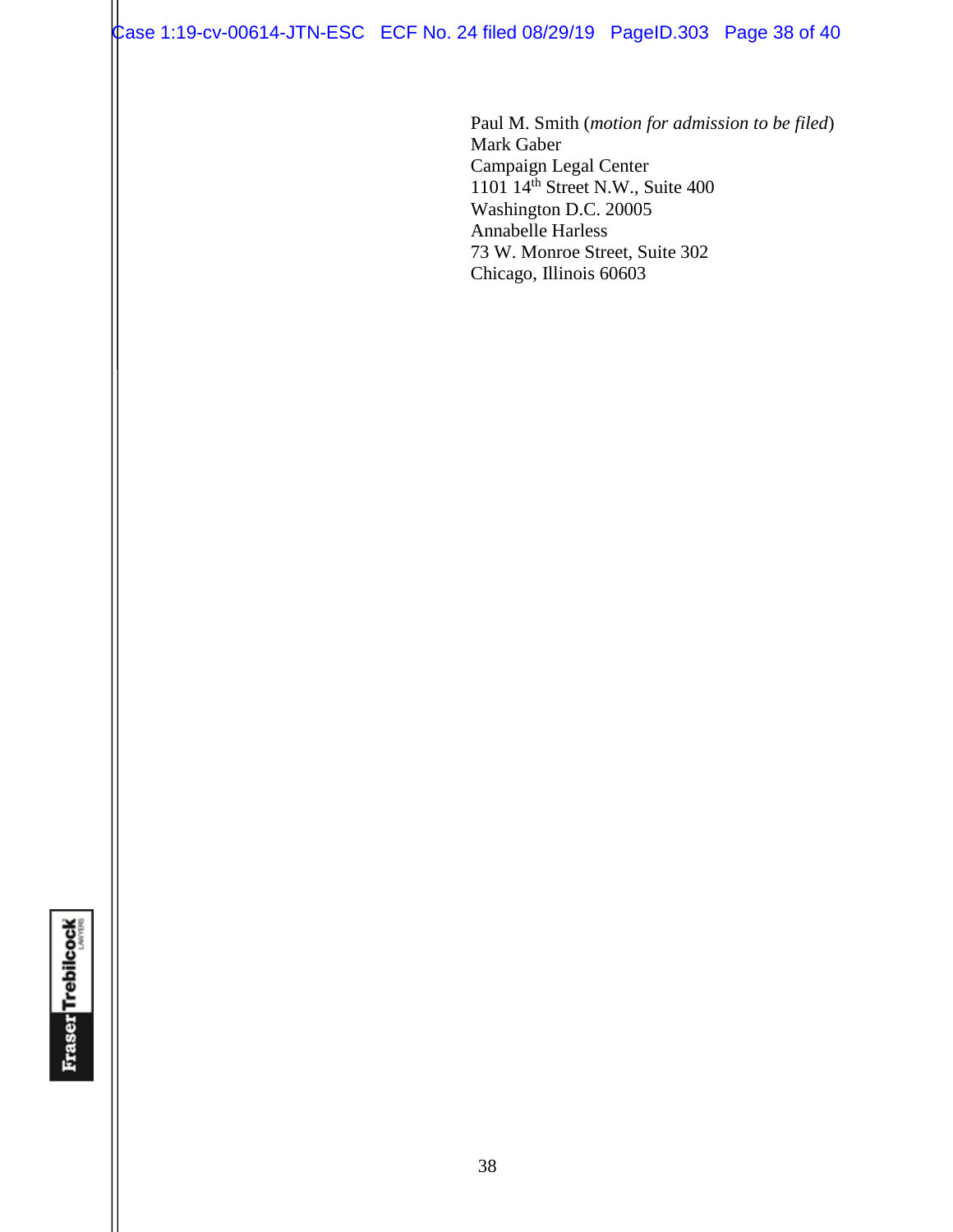Case 1:19-cv-00614-JTN-ESC ECF No. 24 filed 08/29/19 PageID.303 Page 38 of 40

Paul M. Smith (*motion for admission to be filed*) Mark Gaber Campaign Legal Center 1101 14th Street N.W., Suite 400 Washington D.C. 20005 Annabelle Harless 73 W. Monroe Street, Suite 302 Chicago, Illinois 60603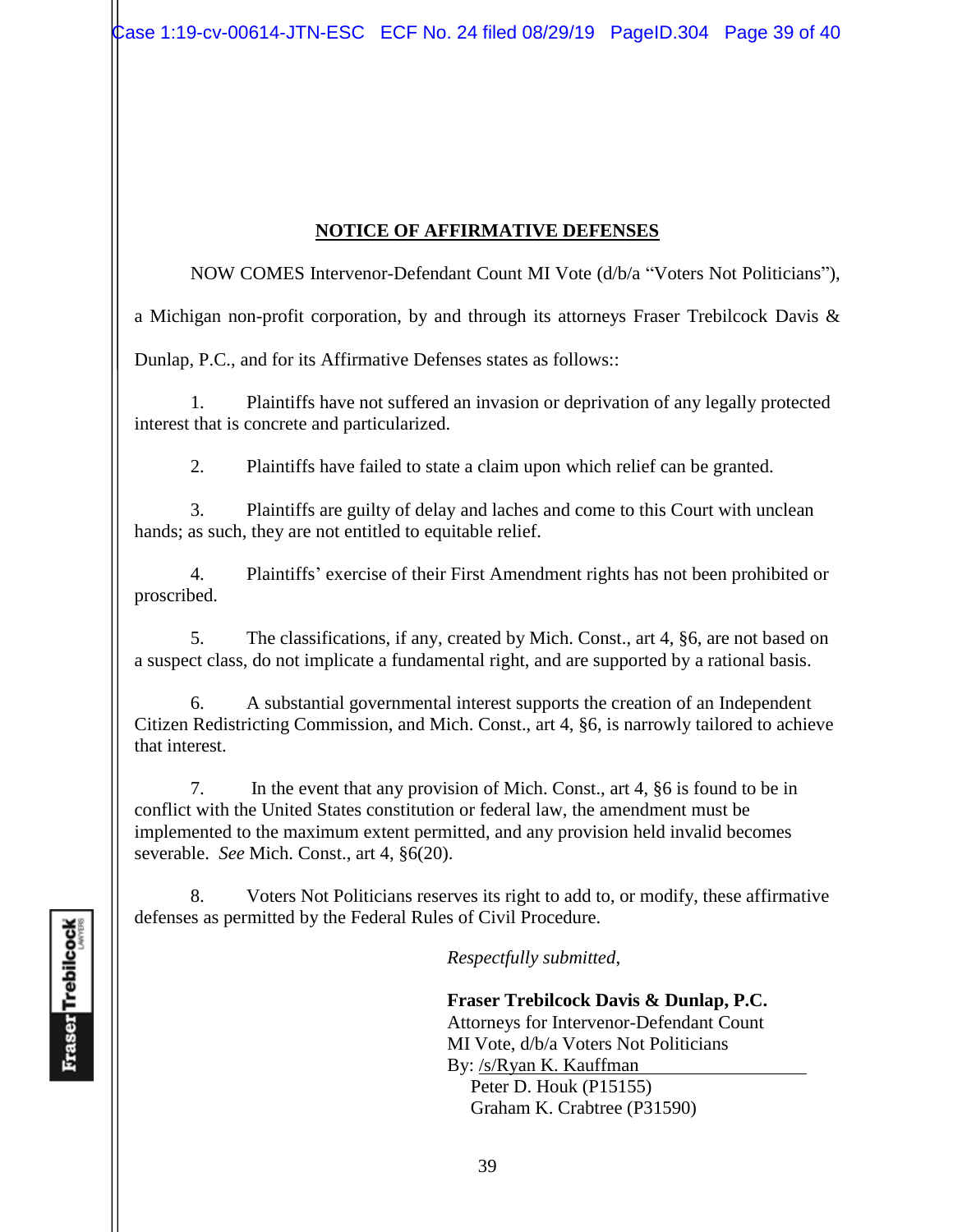# **NOTICE OF AFFIRMATIVE DEFENSES**

NOW COMES Intervenor-Defendant Count MI Vote (d/b/a "Voters Not Politicians"),

a Michigan non-profit corporation, by and through its attorneys Fraser Trebilcock Davis &

Dunlap, P.C., and for its Affirmative Defenses states as follows::

1. Plaintiffs have not suffered an invasion or deprivation of any legally protected interest that is concrete and particularized.

2. Plaintiffs have failed to state a claim upon which relief can be granted.

3. Plaintiffs are guilty of delay and laches and come to this Court with unclean hands; as such, they are not entitled to equitable relief.

4. Plaintiffs' exercise of their First Amendment rights has not been prohibited or proscribed.

5. The classifications, if any, created by Mich. Const., art 4, §6, are not based on a suspect class, do not implicate a fundamental right, and are supported by a rational basis.

6. A substantial governmental interest supports the creation of an Independent Citizen Redistricting Commission, and Mich. Const., art 4, §6, is narrowly tailored to achieve that interest.

7. In the event that any provision of Mich. Const., art 4, §6 is found to be in conflict with the United States constitution or federal law, the amendment must be implemented to the maximum extent permitted, and any provision held invalid becomes severable. *See* Mich. Const., art 4, §6(20).

8. Voters Not Politicians reserves its right to add to, or modify, these affirmative defenses as permitted by the Federal Rules of Civil Procedure.

*Respectfully submitted*,

 **Fraser Trebilcock Davis & Dunlap, P.C.** Attorneys for Intervenor-Defendant Count MI Vote, d/b/a Voters Not Politicians By: /s/Ryan K. Kauffman

Peter D. Houk (P15155) Graham K. Crabtree (P31590)